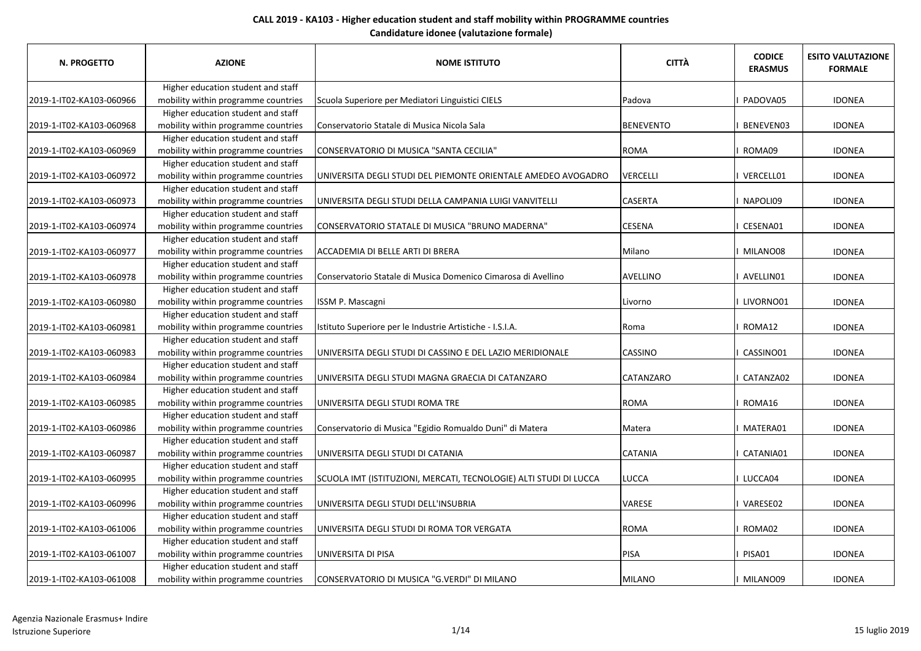| N. PROGETTO              | <b>AZIONE</b>                       | <b>NOME ISTITUTO</b>                                              | <b>CITTÀ</b>     | <b>CODICE</b><br><b>ERASMUS</b> | <b>ESITO VALUTAZIONE</b><br><b>FORMALE</b> |
|--------------------------|-------------------------------------|-------------------------------------------------------------------|------------------|---------------------------------|--------------------------------------------|
|                          | Higher education student and staff  |                                                                   |                  |                                 |                                            |
| 2019-1-IT02-KA103-060966 | mobility within programme countries | Scuola Superiore per Mediatori Linguistici CIELS                  | Padova           | <b>PADOVA05</b>                 | <b>IDONEA</b>                              |
|                          | Higher education student and staff  |                                                                   |                  |                                 |                                            |
| 2019-1-IT02-KA103-060968 | mobility within programme countries | Conservatorio Statale di Musica Nicola Sala                       | <b>BENEVENTO</b> | I BENEVEN03                     | <b>IDONEA</b>                              |
|                          | Higher education student and staff  |                                                                   |                  |                                 |                                            |
| 2019-1-IT02-KA103-060969 | mobility within programme countries | CONSERVATORIO DI MUSICA "SANTA CECILIA"                           | <b>ROMA</b>      | I ROMA09                        | <b>IDONEA</b>                              |
|                          | Higher education student and staff  |                                                                   |                  |                                 |                                            |
| 2019-1-IT02-KA103-060972 | mobility within programme countries | UNIVERSITA DEGLI STUDI DEL PIEMONTE ORIENTALE AMEDEO AVOGADRO     | VERCELLI         | I VERCELL01                     | <b>IDONEA</b>                              |
|                          | Higher education student and staff  |                                                                   |                  |                                 |                                            |
| 2019-1-IT02-KA103-060973 | mobility within programme countries | UNIVERSITA DEGLI STUDI DELLA CAMPANIA LUIGI VANVITELLI            | <b>CASERTA</b>   | I NAPOLI09                      | <b>IDONEA</b>                              |
|                          | Higher education student and staff  |                                                                   |                  |                                 |                                            |
| 2019-1-IT02-KA103-060974 | mobility within programme countries | CONSERVATORIO STATALE DI MUSICA "BRUNO MADERNA"                   | <b>CESENA</b>    | I CESENA01                      | <b>IDONEA</b>                              |
|                          | Higher education student and staff  |                                                                   |                  |                                 |                                            |
| 2019-1-IT02-KA103-060977 | mobility within programme countries | ACCADEMIA DI BELLE ARTI DI BRERA                                  | Milano           | I MILANO08                      | <b>IDONEA</b>                              |
|                          | Higher education student and staff  |                                                                   |                  |                                 |                                            |
| 2019-1-IT02-KA103-060978 | mobility within programme countries | Conservatorio Statale di Musica Domenico Cimarosa di Avellino     | AVELLINO         | I AVELLINO1                     | <b>IDONEA</b>                              |
|                          | Higher education student and staff  |                                                                   |                  |                                 |                                            |
| 2019-1-IT02-KA103-060980 | mobility within programme countries | ISSM P. Mascagni                                                  | Livorno          | I LIVORNO01                     | <b>IDONEA</b>                              |
|                          | Higher education student and staff  |                                                                   |                  |                                 |                                            |
| 2019-1-IT02-KA103-060981 | mobility within programme countries | Istituto Superiore per le Industrie Artistiche - I.S.I.A.         | Roma             | I ROMA12                        | <b>IDONEA</b>                              |
|                          | Higher education student and staff  |                                                                   |                  |                                 |                                            |
| 2019-1-IT02-KA103-060983 | mobility within programme countries | UNIVERSITA DEGLI STUDI DI CASSINO E DEL LAZIO MERIDIONALE         | <b>CASSINO</b>   | CASSINO01                       | <b>IDONEA</b>                              |
|                          | Higher education student and staff  |                                                                   |                  |                                 |                                            |
| 2019-1-IT02-KA103-060984 | mobility within programme countries | UNIVERSITA DEGLI STUDI MAGNA GRAECIA DI CATANZARO                 | <b>CATANZARO</b> | <b>CATANZA02</b>                | <b>IDONEA</b>                              |
|                          | Higher education student and staff  |                                                                   |                  |                                 |                                            |
| 2019-1-IT02-KA103-060985 | mobility within programme countries | UNIVERSITA DEGLI STUDI ROMA TRE                                   | <b>ROMA</b>      | I ROMA16                        | <b>IDONEA</b>                              |
|                          | Higher education student and staff  |                                                                   |                  |                                 |                                            |
| 2019-1-IT02-KA103-060986 | mobility within programme countries | Conservatorio di Musica "Egidio Romualdo Duni" di Matera          | Matera           | I MATERA01                      | <b>IDONEA</b>                              |
|                          | Higher education student and staff  |                                                                   |                  |                                 |                                            |
| 2019-1-IT02-KA103-060987 | mobility within programme countries | UNIVERSITA DEGLI STUDI DI CATANIA                                 | <b>CATANIA</b>   | CATANIA01                       | <b>IDONEA</b>                              |
|                          | Higher education student and staff  |                                                                   |                  |                                 |                                            |
| 2019-1-IT02-KA103-060995 | mobility within programme countries | SCUOLA IMT (ISTITUZIONI, MERCATI, TECNOLOGIE) ALTI STUDI DI LUCCA | LUCCA            | I LUCCA04                       | <b>IDONEA</b>                              |
|                          | Higher education student and staff  |                                                                   |                  |                                 |                                            |
| 2019-1-IT02-KA103-060996 | mobility within programme countries | UNIVERSITA DEGLI STUDI DELL'INSUBRIA                              | <b>VARESE</b>    | I VARESE02                      | <b>IDONEA</b>                              |
|                          | Higher education student and staff  |                                                                   |                  |                                 |                                            |
| 2019-1-IT02-KA103-061006 | mobility within programme countries | UNIVERSITA DEGLI STUDI DI ROMA TOR VERGATA                        | <b>ROMA</b>      | I ROMA02                        | <b>IDONEA</b>                              |
|                          | Higher education student and staff  |                                                                   |                  |                                 |                                            |
| 2019-1-IT02-KA103-061007 | mobility within programme countries | UNIVERSITA DI PISA                                                | PISA             | PISA01                          | <b>IDONEA</b>                              |
|                          | Higher education student and staff  |                                                                   |                  |                                 |                                            |
| 2019-1-IT02-KA103-061008 | mobility within programme countries | CONSERVATORIO DI MUSICA "G.VERDI" DI MILANO                       | MILANO           | I MILANO09                      | <b>IDONEA</b>                              |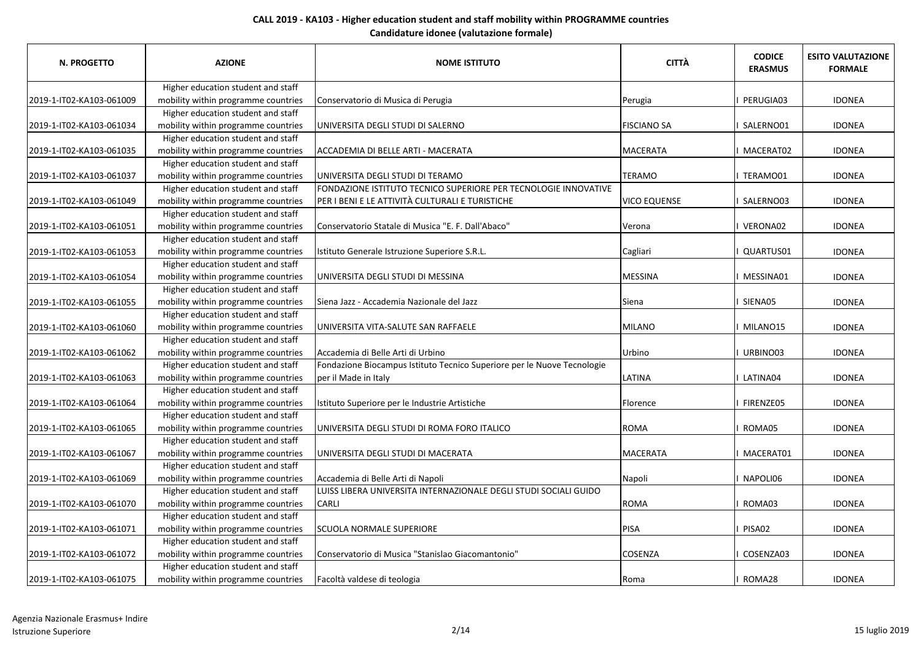| N. PROGETTO              | <b>AZIONE</b>                       | <b>NOME ISTITUTO</b>                                                    | <b>CITTÀ</b>        | <b>CODICE</b><br><b>ERASMUS</b> | <b>ESITO VALUTAZIONE</b><br><b>FORMALE</b> |
|--------------------------|-------------------------------------|-------------------------------------------------------------------------|---------------------|---------------------------------|--------------------------------------------|
|                          | Higher education student and staff  |                                                                         |                     |                                 |                                            |
| 2019-1-IT02-KA103-061009 | mobility within programme countries | Conservatorio di Musica di Perugia                                      | Perugia             | PERUGIA03                       | <b>IDONEA</b>                              |
|                          | Higher education student and staff  |                                                                         |                     |                                 |                                            |
| 2019-1-IT02-KA103-061034 | mobility within programme countries | UNIVERSITA DEGLI STUDI DI SALERNO                                       | <b>FISCIANO SA</b>  | I SALERNO01                     | <b>IDONEA</b>                              |
|                          | Higher education student and staff  |                                                                         |                     |                                 |                                            |
| 2019-1-IT02-KA103-061035 | mobility within programme countries | ACCADEMIA DI BELLE ARTI - MACERATA                                      | <b>MACERATA</b>     | <b>I MACERAT02</b>              | <b>IDONEA</b>                              |
|                          | Higher education student and staff  |                                                                         |                     |                                 |                                            |
| 2019-1-IT02-KA103-061037 | mobility within programme countries | JUNIVERSITA DEGLI STUDI DI TERAMO                                       | <b>TERAMO</b>       | I TERAMO01                      | <b>IDONEA</b>                              |
|                          | Higher education student and staff  | FONDAZIONE ISTITUTO TECNICO SUPERIORE PER TECNOLOGIE INNOVATIVE         |                     |                                 |                                            |
| 2019-1-IT02-KA103-061049 | mobility within programme countries | PER I BENI E LE ATTIVITÀ CULTURALI E TURISTICHE                         | <b>VICO EQUENSE</b> | I SALERNO03                     | <b>IDONEA</b>                              |
|                          | Higher education student and staff  |                                                                         |                     |                                 |                                            |
| 2019-1-IT02-KA103-061051 | mobility within programme countries | Conservatorio Statale di Musica "E. F. Dall'Abaco"                      | Verona              | VERONA02                        | <b>IDONEA</b>                              |
|                          | Higher education student and staff  |                                                                         |                     |                                 |                                            |
| 2019-1-IT02-KA103-061053 | mobility within programme countries | Istituto Generale Istruzione Superiore S.R.L.                           | Cagliari            | QUARTUS01                       | <b>IDONEA</b>                              |
|                          | Higher education student and staff  |                                                                         |                     |                                 |                                            |
| 2019-1-IT02-KA103-061054 | mobility within programme countries | UNIVERSITA DEGLI STUDI DI MESSINA                                       | <b>MESSINA</b>      | <b>MESSINA01</b>                | <b>IDONEA</b>                              |
|                          | Higher education student and staff  |                                                                         |                     |                                 |                                            |
| 2019-1-IT02-KA103-061055 | mobility within programme countries | Siena Jazz - Accademia Nazionale del Jazz                               | Siena               | I SIENA05                       | <b>IDONEA</b>                              |
|                          | Higher education student and staff  |                                                                         |                     |                                 |                                            |
| 2019-1-IT02-KA103-061060 | mobility within programme countries | UNIVERSITA VITA-SALUTE SAN RAFFAELE                                     | <b>MILANO</b>       | MILANO15                        | <b>IDONEA</b>                              |
|                          | Higher education student and staff  |                                                                         |                     |                                 |                                            |
| 2019-1-IT02-KA103-061062 | mobility within programme countries | Accademia di Belle Arti di Urbino                                       | Urbino              | URBINO03                        | <b>IDONEA</b>                              |
|                          | Higher education student and staff  | Fondazione Biocampus Istituto Tecnico Superiore per le Nuove Tecnologie |                     |                                 |                                            |
| 2019-1-IT02-KA103-061063 | mobility within programme countries | per il Made in Italy                                                    | <b>LATINA</b>       | LATINA04                        | <b>IDONEA</b>                              |
|                          | Higher education student and staff  |                                                                         |                     |                                 |                                            |
| 2019-1-IT02-KA103-061064 | mobility within programme countries | Istituto Superiore per le Industrie Artistiche                          | Florence            | <b>FIRENZE05</b>                | <b>IDONEA</b>                              |
|                          | Higher education student and staff  |                                                                         |                     |                                 |                                            |
| 2019-1-IT02-KA103-061065 | mobility within programme countries | JUNIVERSITA DEGLI STUDI DI ROMA FORO ITALICO                            | <b>ROMA</b>         | ROMA05                          | <b>IDONEA</b>                              |
|                          | Higher education student and staff  |                                                                         |                     |                                 |                                            |
| 2019-1-IT02-KA103-061067 | mobility within programme countries | UNIVERSITA DEGLI STUDI DI MACERATA                                      | <b>MACERATA</b>     | <b>MACERAT01</b>                | <b>IDONEA</b>                              |
|                          | Higher education student and staff  |                                                                         |                     |                                 |                                            |
| 2019-1-IT02-KA103-061069 | mobility within programme countries | Accademia di Belle Arti di Napoli                                       | Napoli              | NAPOLI06                        | <b>IDONEA</b>                              |
|                          | Higher education student and staff  | LUISS LIBERA UNIVERSITA INTERNAZIONALE DEGLI STUDI SOCIALI GUIDO        |                     |                                 |                                            |
| 2019-1-IT02-KA103-061070 | mobility within programme countries | <b>CARLI</b>                                                            | <b>ROMA</b>         | <b>ROMA03</b>                   | <b>IDONEA</b>                              |
|                          | Higher education student and staff  |                                                                         |                     |                                 |                                            |
| 2019-1-IT02-KA103-061071 | mobility within programme countries | <b>SCUOLA NORMALE SUPERIORE</b>                                         | PISA                | PISA02                          | <b>IDONEA</b>                              |
|                          | Higher education student and staff  |                                                                         |                     |                                 |                                            |
| 2019-1-IT02-KA103-061072 | mobility within programme countries | Conservatorio di Musica "Stanislao Giacomantonio"                       | <b>COSENZA</b>      | COSENZA03                       | <b>IDONEA</b>                              |
|                          | Higher education student and staff  |                                                                         |                     |                                 |                                            |
| 2019-1-IT02-KA103-061075 | mobility within programme countries | Facoltà valdese di teologia                                             | Roma                | ROMA28                          | <b>IDONEA</b>                              |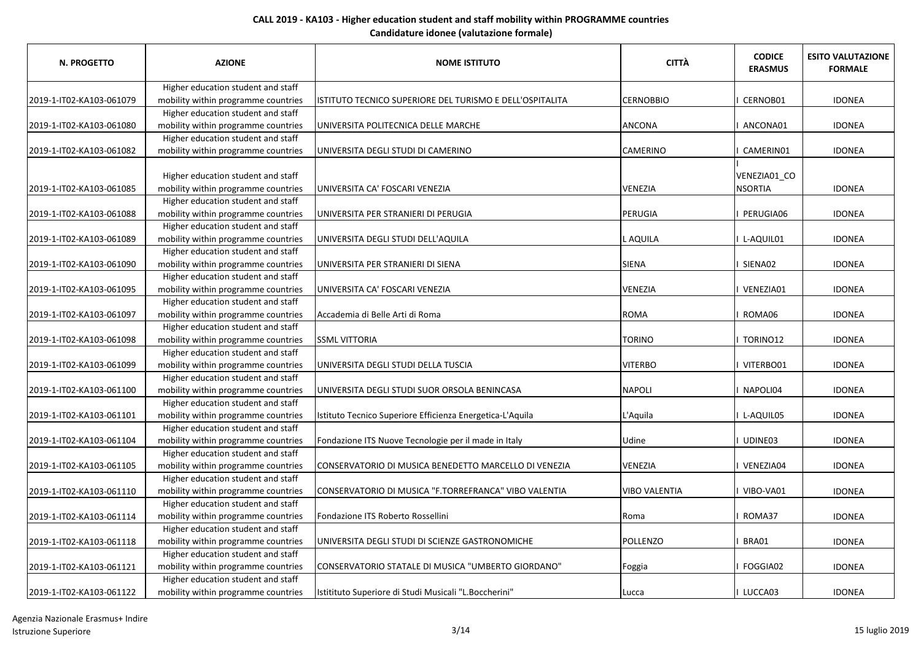| N. PROGETTO              | <b>AZIONE</b>                                                             | <b>NOME ISTITUTO</b>                                      | <b>CITTÀ</b>         | <b>CODICE</b><br><b>ERASMUS</b> | <b>ESITO VALUTAZIONE</b><br><b>FORMALE</b> |
|--------------------------|---------------------------------------------------------------------------|-----------------------------------------------------------|----------------------|---------------------------------|--------------------------------------------|
|                          | Higher education student and staff                                        |                                                           |                      |                                 |                                            |
| 2019-1-IT02-KA103-061079 | mobility within programme countries                                       | ISTITUTO TECNICO SUPERIORE DEL TURISMO E DELL'OSPITALITA  | <b>CERNOBBIO</b>     | CERNOB01                        | <b>IDONEA</b>                              |
|                          | Higher education student and staff                                        |                                                           |                      |                                 |                                            |
| 2019-1-IT02-KA103-061080 | mobility within programme countries                                       | UNIVERSITA POLITECNICA DELLE MARCHE                       | ANCONA               | ANCONA01                        | <b>IDONEA</b>                              |
|                          | Higher education student and staff                                        |                                                           |                      |                                 |                                            |
| 2019-1-IT02-KA103-061082 | mobility within programme countries                                       | UNIVERSITA DEGLI STUDI DI CAMERINO                        | <b>CAMERINO</b>      | CAMERIN01                       | <b>IDONEA</b>                              |
| 2019-1-IT02-KA103-061085 | Higher education student and staff<br>mobility within programme countries | UNIVERSITA CA' FOSCARI VENEZIA                            | <b>VENEZIA</b>       | VENEZIA01_CO<br><b>NSORTIA</b>  | <b>IDONEA</b>                              |
|                          | Higher education student and staff                                        |                                                           |                      |                                 |                                            |
| 2019-1-IT02-KA103-061088 | mobility within programme countries                                       | UNIVERSITA PER STRANIERI DI PERUGIA                       | PERUGIA              | PERUGIA06                       | <b>IDONEA</b>                              |
|                          | Higher education student and staff                                        |                                                           |                      |                                 |                                            |
| 2019-1-IT02-KA103-061089 | mobility within programme countries                                       | UNIVERSITA DEGLI STUDI DELL'AQUILA                        | L AQUILA             | L-AQUIL01                       | <b>IDONEA</b>                              |
|                          | Higher education student and staff                                        |                                                           |                      |                                 |                                            |
| 2019-1-IT02-KA103-061090 | mobility within programme countries                                       | UNIVERSITA PER STRANIERI DI SIENA                         | SIENA                | SIENA02                         | <b>IDONEA</b>                              |
|                          | Higher education student and staff                                        |                                                           |                      |                                 |                                            |
| 2019-1-IT02-KA103-061095 | mobility within programme countries                                       | UNIVERSITA CA' FOSCARI VENEZIA                            | VENEZIA              | I VENEZIA01                     | <b>IDONEA</b>                              |
|                          | Higher education student and staff                                        |                                                           |                      |                                 |                                            |
| 2019-1-IT02-KA103-061097 | mobility within programme countries                                       | Accademia di Belle Arti di Roma                           | ROMA                 | ROMA06                          | <b>IDONEA</b>                              |
|                          | Higher education student and staff                                        |                                                           |                      |                                 |                                            |
| 2019-1-IT02-KA103-061098 | mobility within programme countries                                       | <b>SSML VITTORIA</b>                                      | <b>TORINO</b>        | I TORINO12                      | <b>IDONEA</b>                              |
|                          | Higher education student and staff                                        |                                                           |                      |                                 |                                            |
| 2019-1-IT02-KA103-061099 | mobility within programme countries                                       | UNIVERSITA DEGLI STUDI DELLA TUSCIA                       | <b>VITERBO</b>       | VITERBO01                       | <b>IDONEA</b>                              |
|                          | Higher education student and staff                                        |                                                           |                      |                                 |                                            |
| 2019-1-IT02-KA103-061100 | mobility within programme countries                                       | UNIVERSITA DEGLI STUDI SUOR ORSOLA BENINCASA              | <b>NAPOLI</b>        | NAPOLI04                        | <b>IDONEA</b>                              |
|                          | Higher education student and staff                                        |                                                           |                      |                                 |                                            |
| 2019-1-IT02-KA103-061101 | mobility within programme countries                                       | Istituto Tecnico Superiore Efficienza Energetica-L'Aquila | L'Aquila             | L-AQUIL05                       | <b>IDONEA</b>                              |
|                          | Higher education student and staff                                        |                                                           |                      |                                 |                                            |
| 2019-1-IT02-KA103-061104 | mobility within programme countries                                       | Fondazione ITS Nuove Tecnologie per il made in Italy      | Udine                | UDINE03                         | <b>IDONEA</b>                              |
|                          | Higher education student and staff                                        |                                                           |                      |                                 |                                            |
| 2019-1-IT02-KA103-061105 | mobility within programme countries                                       | CONSERVATORIO DI MUSICA BENEDETTO MARCELLO DI VENEZIA     | <b>VENEZIA</b>       | I VENEZIA04                     | <b>IDONEA</b>                              |
|                          | Higher education student and staff                                        |                                                           |                      |                                 |                                            |
| 2019-1-IT02-KA103-061110 | mobility within programme countries                                       | CONSERVATORIO DI MUSICA "F.TORREFRANCA" VIBO VALENTIA     | <b>VIBO VALENTIA</b> | VIBO-VA01                       | <b>IDONEA</b>                              |
|                          | Higher education student and staff                                        |                                                           |                      |                                 |                                            |
| 2019-1-IT02-KA103-061114 | mobility within programme countries                                       | Fondazione ITS Roberto Rossellini                         | Roma                 | ROMA37                          | <b>IDONEA</b>                              |
|                          | Higher education student and staff                                        |                                                           |                      |                                 |                                            |
| 2019-1-IT02-KA103-061118 | mobility within programme countries                                       | UNIVERSITA DEGLI STUDI DI SCIENZE GASTRONOMICHE           | POLLENZO             | BRA01                           | <b>IDONEA</b>                              |
|                          | Higher education student and staff                                        |                                                           |                      |                                 |                                            |
| 2019-1-IT02-KA103-061121 | mobility within programme countries                                       | CONSERVATORIO STATALE DI MUSICA "UMBERTO GIORDANO"        | Foggia               | FOGGIA02                        | <b>IDONEA</b>                              |
|                          | Higher education student and staff                                        |                                                           |                      |                                 |                                            |
| 2019-1-IT02-KA103-061122 | mobility within programme countries                                       | Istitituto Superiore di Studi Musicali "L.Boccherini"     | Lucca                | LUCCA03                         | <b>IDONEA</b>                              |

Agenzia Nazionale Erasmus+ Indire Istruzione Superiore 3/14 15 luglio 2019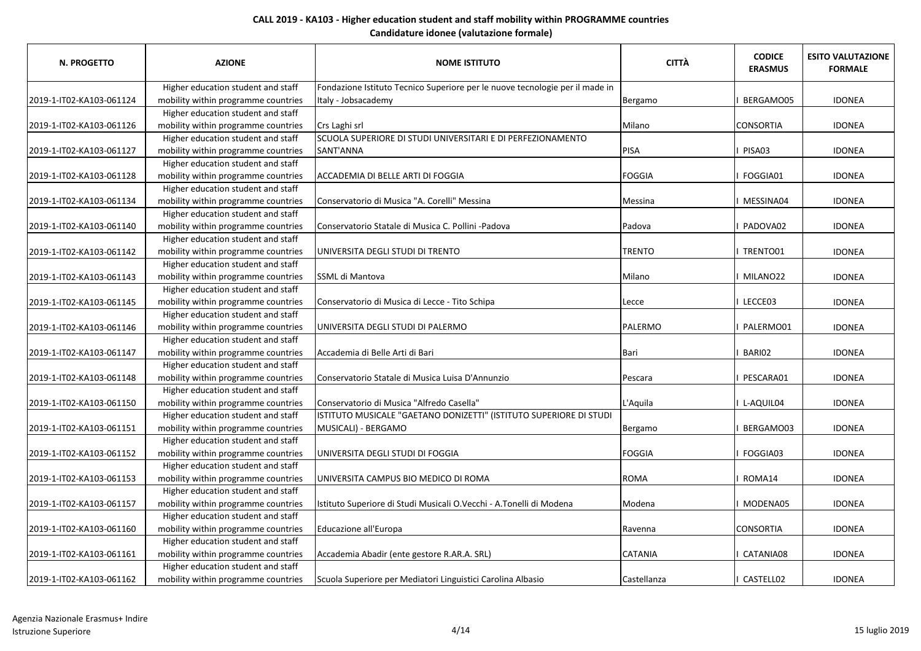| N. PROGETTO              | <b>AZIONE</b>                       | <b>NOME ISTITUTO</b>                                                         | <b>CITTÀ</b>   | <b>CODICE</b><br><b>ERASMUS</b> | <b>ESITO VALUTAZIONE</b><br><b>FORMALE</b> |
|--------------------------|-------------------------------------|------------------------------------------------------------------------------|----------------|---------------------------------|--------------------------------------------|
|                          | Higher education student and staff  | Fondazione Istituto Tecnico Superiore per le nuove tecnologie per il made in |                |                                 |                                            |
| 2019-1-IT02-KA103-061124 | mobility within programme countries | Italy - Jobsacademy                                                          | Bergamo        | BERGAMO05                       | <b>IDONEA</b>                              |
|                          | Higher education student and staff  |                                                                              |                |                                 |                                            |
| 2019-1-IT02-KA103-061126 | mobility within programme countries | Crs Laghi srl                                                                | Milano         | <b>CONSORTIA</b>                | <b>IDONEA</b>                              |
|                          | Higher education student and staff  | SCUOLA SUPERIORE DI STUDI UNIVERSITARI E DI PERFEZIONAMENTO                  |                |                                 |                                            |
| 2019-1-IT02-KA103-061127 | mobility within programme countries | SANT'ANNA                                                                    | PISA           | PISA03                          | <b>IDONEA</b>                              |
|                          | Higher education student and staff  |                                                                              |                |                                 |                                            |
| 2019-1-IT02-KA103-061128 | mobility within programme countries | ACCADEMIA DI BELLE ARTI DI FOGGIA                                            | <b>FOGGIA</b>  | I FOGGIA01                      | <b>IDONEA</b>                              |
|                          | Higher education student and staff  |                                                                              |                |                                 |                                            |
| 2019-1-IT02-KA103-061134 | mobility within programme countries | Conservatorio di Musica "A. Corelli" Messina                                 | Messina        | I MESSINA04                     | <b>IDONEA</b>                              |
|                          | Higher education student and staff  |                                                                              |                |                                 |                                            |
| 2019-1-IT02-KA103-061140 | mobility within programme countries | Conservatorio Statale di Musica C. Pollini -Padova                           | Padova         | I PADOVA02                      | <b>IDONEA</b>                              |
|                          | Higher education student and staff  |                                                                              |                |                                 |                                            |
| 2019-1-IT02-KA103-061142 | mobility within programme countries | UNIVERSITA DEGLI STUDI DI TRENTO                                             | <b>TRENTO</b>  | I TRENTO01                      | <b>IDONEA</b>                              |
|                          | Higher education student and staff  |                                                                              |                |                                 |                                            |
| 2019-1-IT02-KA103-061143 | mobility within programme countries | SSML di Mantova                                                              | Milano         | I MILANO22                      | <b>IDONEA</b>                              |
|                          | Higher education student and staff  |                                                                              |                |                                 |                                            |
| 2019-1-IT02-KA103-061145 | mobility within programme countries | Conservatorio di Musica di Lecce - Tito Schipa                               | Lecce          | I LECCE03                       | <b>IDONEA</b>                              |
|                          | Higher education student and staff  |                                                                              |                |                                 |                                            |
| 2019-1-IT02-KA103-061146 | mobility within programme countries | UNIVERSITA DEGLI STUDI DI PALERMO                                            | PALERMO        | I PALERMO01                     | <b>IDONEA</b>                              |
|                          | Higher education student and staff  |                                                                              |                |                                 |                                            |
| 2019-1-IT02-KA103-061147 | mobility within programme countries | Accademia di Belle Arti di Bari                                              | Bari           | BARI02                          | <b>IDONEA</b>                              |
|                          | Higher education student and staff  |                                                                              |                |                                 |                                            |
| 2019-1-IT02-KA103-061148 | mobility within programme countries | Conservatorio Statale di Musica Luisa D'Annunzio                             | Pescara        | PESCARA01                       | <b>IDONEA</b>                              |
|                          | Higher education student and staff  |                                                                              |                |                                 |                                            |
| 2019-1-IT02-KA103-061150 | mobility within programme countries | Conservatorio di Musica "Alfredo Casella"                                    | L'Aquila       | I L-AQUIL04                     | <b>IDONEA</b>                              |
|                          | Higher education student and staff  | ISTITUTO MUSICALE "GAETANO DONIZETTI" (ISTITUTO SUPERIORE DI STUDI           |                |                                 |                                            |
| 2019-1-IT02-KA103-061151 | mobility within programme countries | MUSICALI) - BERGAMO                                                          | Bergamo        | BERGAMO03                       | <b>IDONEA</b>                              |
|                          | Higher education student and staff  |                                                                              |                |                                 |                                            |
| 2019-1-IT02-KA103-061152 | mobility within programme countries | UNIVERSITA DEGLI STUDI DI FOGGIA                                             | <b>FOGGIA</b>  | I FOGGIA03                      | <b>IDONEA</b>                              |
|                          | Higher education student and staff  |                                                                              |                |                                 |                                            |
| 2019-1-IT02-KA103-061153 | mobility within programme countries | UNIVERSITA CAMPUS BIO MEDICO DI ROMA                                         | <b>ROMA</b>    | I ROMA14                        | <b>IDONEA</b>                              |
|                          | Higher education student and staff  |                                                                              |                |                                 |                                            |
| 2019-1-IT02-KA103-061157 | mobility within programme countries | Istituto Superiore di Studi Musicali O.Vecchi - A.Tonelli di Modena          | Modena         | I MODENA05                      | <b>IDONEA</b>                              |
|                          | Higher education student and staff  |                                                                              |                |                                 |                                            |
| 2019-1-IT02-KA103-061160 | mobility within programme countries | Educazione all'Europa                                                        | Ravenna        | <b>CONSORTIA</b>                | <b>IDONEA</b>                              |
|                          | Higher education student and staff  |                                                                              |                |                                 |                                            |
| 2019-1-IT02-KA103-061161 | mobility within programme countries | Accademia Abadir (ente gestore R.AR.A. SRL)                                  | <b>CATANIA</b> | CATANIA08                       | <b>IDONEA</b>                              |
|                          | Higher education student and staff  |                                                                              |                |                                 |                                            |
| 2019-1-IT02-KA103-061162 | mobility within programme countries | Scuola Superiore per Mediatori Linguistici Carolina Albasio                  | Castellanza    | CASTELL02                       | <b>IDONEA</b>                              |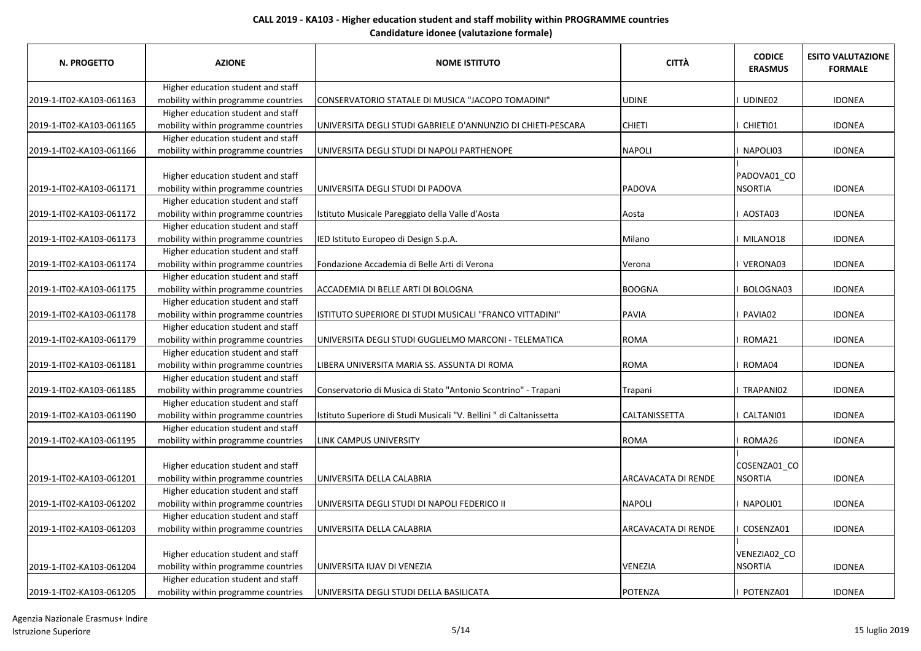| Higher education student and staff<br>mobility within programme countries<br>CONSERVATORIO STATALE DI MUSICA "JACOPO TOMADINI"<br><b>UDINE</b><br>UDINE02<br><b>IDONEA</b><br>Higher education student and staff<br>mobility within programme countries<br><b>CHIETI</b><br>I CHIETI01<br> UNIVERSITA DEGLI STUDI GABRIELE D'ANNUNZIO DI CHIETI-PESCARA<br><b>IDONEA</b><br>Higher education student and staff<br>mobility within programme countries<br><b>NAPOLI</b><br>UNIVERSITA DEGLI STUDI DI NAPOLI PARTHENOPE<br>NAPOLI03<br><b>IDONEA</b><br>Higher education student and staff<br>PADOVA01_CO<br>mobility within programme countries<br><b>NSORTIA</b><br>PADOVA<br>2019-1-IT02-KA103-061171<br>JUNIVERSITA DEGLI STUDI DI PADOVA<br><b>IDONEA</b><br>Higher education student and staff<br>mobility within programme countries<br>AOSTA03<br>Istituto Musicale Pareggiato della Valle d'Aosta<br>2019-1-IT02-KA103-061172<br>Aosta<br><b>IDONEA</b><br>Higher education student and staff<br>mobility within programme countries<br>IED Istituto Europeo di Design S.p.A.<br>Milano<br><b>IDONEA</b><br>2019-1-IT02-KA103-061173<br>I MILANO18<br>Higher education student and staff<br>2019-1-IT02-KA103-061174<br>mobility within programme countries<br>Fondazione Accademia di Belle Arti di Verona<br><b>IDONEA</b><br>VERONA03<br>Verona<br>Higher education student and staff<br>mobility within programme countries<br>ACCADEMIA DI BELLE ARTI DI BOLOGNA<br><b>BOOGNA</b><br>2019-1-IT02-KA103-061175<br>BOLOGNA03<br><b>IDONEA</b><br>Higher education student and staff<br>mobility within programme countries<br>2019-1-IT02-KA103-061178<br>ISTITUTO SUPERIORE DI STUDI MUSICALI "FRANCO VITTADINI"<br>PAVIA<br>PAVIA02<br><b>IDONEA</b><br>Higher education student and staff<br>mobility within programme countries<br><b>ROMA</b><br>UNIVERSITA DEGLI STUDI GUGLIELMO MARCONI - TELEMATICA<br>ROMA21<br><b>IDONEA</b><br>Higher education student and staff<br>mobility within programme countries<br><b>ROMA</b><br>ROMA04<br>LIBERA UNIVERSITA MARIA SS. ASSUNTA DI ROMA<br><b>IDONEA</b><br>Higher education student and staff<br>mobility within programme countries<br>Conservatorio di Musica di Stato "Antonio Scontrino" - Trapani<br>TRAPANI02<br>Trapani<br><b>IDONEA</b><br>Higher education student and staff<br>Istituto Superiore di Studi Musicali "V. Bellini " di Caltanissetta<br>mobility within programme countries<br><b>CALTANISSETTA</b><br>CALTANI01<br><b>IDONEA</b><br>Higher education student and staff<br>mobility within programme countries<br><b>LINK CAMPUS UNIVERSITY</b><br><b>ROMA</b><br>I ROMA26<br><b>IDONEA</b><br>Higher education student and staff<br>COSENZA01_CO<br>mobility within programme countries<br><b>NSORTIA</b><br>UNIVERSITA DELLA CALABRIA<br>ARCAVACATA DI RENDE<br><b>IDONEA</b><br>2019-1-IT02-KA103-061201<br>Higher education student and staff<br>mobility within programme countries<br><b>NAPOLI</b><br>2019-1-IT02-KA103-061202<br>UNIVERSITA DEGLI STUDI DI NAPOLI FEDERICO II<br>I NAPOLI01<br><b>IDONEA</b><br>Higher education student and staff<br>mobility within programme countries<br>2019-1-IT02-KA103-061203<br>UNIVERSITA DELLA CALABRIA<br><b>ARCAVACATA DI RENDE</b><br>COSENZA01<br><b>IDONEA</b><br>Higher education student and staff<br>VENEZIA02_CO<br>mobility within programme countries<br><b>VENEZIA</b><br><b>NSORTIA</b><br>UNIVERSITA IUAV DI VENEZIA<br>2019-1-IT02-KA103-061204<br><b>IDONEA</b><br>Higher education student and staff | <b>N. PROGETTO</b>       | <b>AZIONE</b>                       | <b>NOME ISTITUTO</b>                    | <b>CITTÀ</b> | <b>CODICE</b><br><b>ERASMUS</b> | <b>ESITO VALUTAZIONE</b><br><b>FORMALE</b> |
|-----------------------------------------------------------------------------------------------------------------------------------------------------------------------------------------------------------------------------------------------------------------------------------------------------------------------------------------------------------------------------------------------------------------------------------------------------------------------------------------------------------------------------------------------------------------------------------------------------------------------------------------------------------------------------------------------------------------------------------------------------------------------------------------------------------------------------------------------------------------------------------------------------------------------------------------------------------------------------------------------------------------------------------------------------------------------------------------------------------------------------------------------------------------------------------------------------------------------------------------------------------------------------------------------------------------------------------------------------------------------------------------------------------------------------------------------------------------------------------------------------------------------------------------------------------------------------------------------------------------------------------------------------------------------------------------------------------------------------------------------------------------------------------------------------------------------------------------------------------------------------------------------------------------------------------------------------------------------------------------------------------------------------------------------------------------------------------------------------------------------------------------------------------------------------------------------------------------------------------------------------------------------------------------------------------------------------------------------------------------------------------------------------------------------------------------------------------------------------------------------------------------------------------------------------------------------------------------------------------------------------------------------------------------------------------------------------------------------------------------------------------------------------------------------------------------------------------------------------------------------------------------------------------------------------------------------------------------------------------------------------------------------------------------------------------------------------------------------------------------------------------------------------------------------------------------------------------------------------------------------------------------------------------------------------------------------------------------------------------------------------------------------------------------------------------------------------------------------------------------------------------------------------------------------------------------|--------------------------|-------------------------------------|-----------------------------------------|--------------|---------------------------------|--------------------------------------------|
|                                                                                                                                                                                                                                                                                                                                                                                                                                                                                                                                                                                                                                                                                                                                                                                                                                                                                                                                                                                                                                                                                                                                                                                                                                                                                                                                                                                                                                                                                                                                                                                                                                                                                                                                                                                                                                                                                                                                                                                                                                                                                                                                                                                                                                                                                                                                                                                                                                                                                                                                                                                                                                                                                                                                                                                                                                                                                                                                                                                                                                                                                                                                                                                                                                                                                                                                                                                                                                                                                                                                                                 |                          |                                     |                                         |              |                                 |                                            |
|                                                                                                                                                                                                                                                                                                                                                                                                                                                                                                                                                                                                                                                                                                                                                                                                                                                                                                                                                                                                                                                                                                                                                                                                                                                                                                                                                                                                                                                                                                                                                                                                                                                                                                                                                                                                                                                                                                                                                                                                                                                                                                                                                                                                                                                                                                                                                                                                                                                                                                                                                                                                                                                                                                                                                                                                                                                                                                                                                                                                                                                                                                                                                                                                                                                                                                                                                                                                                                                                                                                                                                 | 2019-1-IT02-KA103-061163 |                                     |                                         |              |                                 |                                            |
|                                                                                                                                                                                                                                                                                                                                                                                                                                                                                                                                                                                                                                                                                                                                                                                                                                                                                                                                                                                                                                                                                                                                                                                                                                                                                                                                                                                                                                                                                                                                                                                                                                                                                                                                                                                                                                                                                                                                                                                                                                                                                                                                                                                                                                                                                                                                                                                                                                                                                                                                                                                                                                                                                                                                                                                                                                                                                                                                                                                                                                                                                                                                                                                                                                                                                                                                                                                                                                                                                                                                                                 |                          |                                     |                                         |              |                                 |                                            |
|                                                                                                                                                                                                                                                                                                                                                                                                                                                                                                                                                                                                                                                                                                                                                                                                                                                                                                                                                                                                                                                                                                                                                                                                                                                                                                                                                                                                                                                                                                                                                                                                                                                                                                                                                                                                                                                                                                                                                                                                                                                                                                                                                                                                                                                                                                                                                                                                                                                                                                                                                                                                                                                                                                                                                                                                                                                                                                                                                                                                                                                                                                                                                                                                                                                                                                                                                                                                                                                                                                                                                                 | 2019-1-IT02-KA103-061165 |                                     |                                         |              |                                 |                                            |
|                                                                                                                                                                                                                                                                                                                                                                                                                                                                                                                                                                                                                                                                                                                                                                                                                                                                                                                                                                                                                                                                                                                                                                                                                                                                                                                                                                                                                                                                                                                                                                                                                                                                                                                                                                                                                                                                                                                                                                                                                                                                                                                                                                                                                                                                                                                                                                                                                                                                                                                                                                                                                                                                                                                                                                                                                                                                                                                                                                                                                                                                                                                                                                                                                                                                                                                                                                                                                                                                                                                                                                 |                          |                                     |                                         |              |                                 |                                            |
|                                                                                                                                                                                                                                                                                                                                                                                                                                                                                                                                                                                                                                                                                                                                                                                                                                                                                                                                                                                                                                                                                                                                                                                                                                                                                                                                                                                                                                                                                                                                                                                                                                                                                                                                                                                                                                                                                                                                                                                                                                                                                                                                                                                                                                                                                                                                                                                                                                                                                                                                                                                                                                                                                                                                                                                                                                                                                                                                                                                                                                                                                                                                                                                                                                                                                                                                                                                                                                                                                                                                                                 | 2019-1-IT02-KA103-061166 |                                     |                                         |              |                                 |                                            |
|                                                                                                                                                                                                                                                                                                                                                                                                                                                                                                                                                                                                                                                                                                                                                                                                                                                                                                                                                                                                                                                                                                                                                                                                                                                                                                                                                                                                                                                                                                                                                                                                                                                                                                                                                                                                                                                                                                                                                                                                                                                                                                                                                                                                                                                                                                                                                                                                                                                                                                                                                                                                                                                                                                                                                                                                                                                                                                                                                                                                                                                                                                                                                                                                                                                                                                                                                                                                                                                                                                                                                                 |                          |                                     |                                         |              |                                 |                                            |
|                                                                                                                                                                                                                                                                                                                                                                                                                                                                                                                                                                                                                                                                                                                                                                                                                                                                                                                                                                                                                                                                                                                                                                                                                                                                                                                                                                                                                                                                                                                                                                                                                                                                                                                                                                                                                                                                                                                                                                                                                                                                                                                                                                                                                                                                                                                                                                                                                                                                                                                                                                                                                                                                                                                                                                                                                                                                                                                                                                                                                                                                                                                                                                                                                                                                                                                                                                                                                                                                                                                                                                 |                          |                                     |                                         |              |                                 |                                            |
|                                                                                                                                                                                                                                                                                                                                                                                                                                                                                                                                                                                                                                                                                                                                                                                                                                                                                                                                                                                                                                                                                                                                                                                                                                                                                                                                                                                                                                                                                                                                                                                                                                                                                                                                                                                                                                                                                                                                                                                                                                                                                                                                                                                                                                                                                                                                                                                                                                                                                                                                                                                                                                                                                                                                                                                                                                                                                                                                                                                                                                                                                                                                                                                                                                                                                                                                                                                                                                                                                                                                                                 |                          |                                     |                                         |              |                                 |                                            |
|                                                                                                                                                                                                                                                                                                                                                                                                                                                                                                                                                                                                                                                                                                                                                                                                                                                                                                                                                                                                                                                                                                                                                                                                                                                                                                                                                                                                                                                                                                                                                                                                                                                                                                                                                                                                                                                                                                                                                                                                                                                                                                                                                                                                                                                                                                                                                                                                                                                                                                                                                                                                                                                                                                                                                                                                                                                                                                                                                                                                                                                                                                                                                                                                                                                                                                                                                                                                                                                                                                                                                                 |                          |                                     |                                         |              |                                 |                                            |
|                                                                                                                                                                                                                                                                                                                                                                                                                                                                                                                                                                                                                                                                                                                                                                                                                                                                                                                                                                                                                                                                                                                                                                                                                                                                                                                                                                                                                                                                                                                                                                                                                                                                                                                                                                                                                                                                                                                                                                                                                                                                                                                                                                                                                                                                                                                                                                                                                                                                                                                                                                                                                                                                                                                                                                                                                                                                                                                                                                                                                                                                                                                                                                                                                                                                                                                                                                                                                                                                                                                                                                 |                          |                                     |                                         |              |                                 |                                            |
|                                                                                                                                                                                                                                                                                                                                                                                                                                                                                                                                                                                                                                                                                                                                                                                                                                                                                                                                                                                                                                                                                                                                                                                                                                                                                                                                                                                                                                                                                                                                                                                                                                                                                                                                                                                                                                                                                                                                                                                                                                                                                                                                                                                                                                                                                                                                                                                                                                                                                                                                                                                                                                                                                                                                                                                                                                                                                                                                                                                                                                                                                                                                                                                                                                                                                                                                                                                                                                                                                                                                                                 |                          |                                     |                                         |              |                                 |                                            |
|                                                                                                                                                                                                                                                                                                                                                                                                                                                                                                                                                                                                                                                                                                                                                                                                                                                                                                                                                                                                                                                                                                                                                                                                                                                                                                                                                                                                                                                                                                                                                                                                                                                                                                                                                                                                                                                                                                                                                                                                                                                                                                                                                                                                                                                                                                                                                                                                                                                                                                                                                                                                                                                                                                                                                                                                                                                                                                                                                                                                                                                                                                                                                                                                                                                                                                                                                                                                                                                                                                                                                                 |                          |                                     |                                         |              |                                 |                                            |
|                                                                                                                                                                                                                                                                                                                                                                                                                                                                                                                                                                                                                                                                                                                                                                                                                                                                                                                                                                                                                                                                                                                                                                                                                                                                                                                                                                                                                                                                                                                                                                                                                                                                                                                                                                                                                                                                                                                                                                                                                                                                                                                                                                                                                                                                                                                                                                                                                                                                                                                                                                                                                                                                                                                                                                                                                                                                                                                                                                                                                                                                                                                                                                                                                                                                                                                                                                                                                                                                                                                                                                 |                          |                                     |                                         |              |                                 |                                            |
|                                                                                                                                                                                                                                                                                                                                                                                                                                                                                                                                                                                                                                                                                                                                                                                                                                                                                                                                                                                                                                                                                                                                                                                                                                                                                                                                                                                                                                                                                                                                                                                                                                                                                                                                                                                                                                                                                                                                                                                                                                                                                                                                                                                                                                                                                                                                                                                                                                                                                                                                                                                                                                                                                                                                                                                                                                                                                                                                                                                                                                                                                                                                                                                                                                                                                                                                                                                                                                                                                                                                                                 |                          |                                     |                                         |              |                                 |                                            |
|                                                                                                                                                                                                                                                                                                                                                                                                                                                                                                                                                                                                                                                                                                                                                                                                                                                                                                                                                                                                                                                                                                                                                                                                                                                                                                                                                                                                                                                                                                                                                                                                                                                                                                                                                                                                                                                                                                                                                                                                                                                                                                                                                                                                                                                                                                                                                                                                                                                                                                                                                                                                                                                                                                                                                                                                                                                                                                                                                                                                                                                                                                                                                                                                                                                                                                                                                                                                                                                                                                                                                                 |                          |                                     |                                         |              |                                 |                                            |
|                                                                                                                                                                                                                                                                                                                                                                                                                                                                                                                                                                                                                                                                                                                                                                                                                                                                                                                                                                                                                                                                                                                                                                                                                                                                                                                                                                                                                                                                                                                                                                                                                                                                                                                                                                                                                                                                                                                                                                                                                                                                                                                                                                                                                                                                                                                                                                                                                                                                                                                                                                                                                                                                                                                                                                                                                                                                                                                                                                                                                                                                                                                                                                                                                                                                                                                                                                                                                                                                                                                                                                 |                          |                                     |                                         |              |                                 |                                            |
|                                                                                                                                                                                                                                                                                                                                                                                                                                                                                                                                                                                                                                                                                                                                                                                                                                                                                                                                                                                                                                                                                                                                                                                                                                                                                                                                                                                                                                                                                                                                                                                                                                                                                                                                                                                                                                                                                                                                                                                                                                                                                                                                                                                                                                                                                                                                                                                                                                                                                                                                                                                                                                                                                                                                                                                                                                                                                                                                                                                                                                                                                                                                                                                                                                                                                                                                                                                                                                                                                                                                                                 |                          |                                     |                                         |              |                                 |                                            |
|                                                                                                                                                                                                                                                                                                                                                                                                                                                                                                                                                                                                                                                                                                                                                                                                                                                                                                                                                                                                                                                                                                                                                                                                                                                                                                                                                                                                                                                                                                                                                                                                                                                                                                                                                                                                                                                                                                                                                                                                                                                                                                                                                                                                                                                                                                                                                                                                                                                                                                                                                                                                                                                                                                                                                                                                                                                                                                                                                                                                                                                                                                                                                                                                                                                                                                                                                                                                                                                                                                                                                                 | 2019-1-IT02-KA103-061179 |                                     |                                         |              |                                 |                                            |
|                                                                                                                                                                                                                                                                                                                                                                                                                                                                                                                                                                                                                                                                                                                                                                                                                                                                                                                                                                                                                                                                                                                                                                                                                                                                                                                                                                                                                                                                                                                                                                                                                                                                                                                                                                                                                                                                                                                                                                                                                                                                                                                                                                                                                                                                                                                                                                                                                                                                                                                                                                                                                                                                                                                                                                                                                                                                                                                                                                                                                                                                                                                                                                                                                                                                                                                                                                                                                                                                                                                                                                 |                          |                                     |                                         |              |                                 |                                            |
|                                                                                                                                                                                                                                                                                                                                                                                                                                                                                                                                                                                                                                                                                                                                                                                                                                                                                                                                                                                                                                                                                                                                                                                                                                                                                                                                                                                                                                                                                                                                                                                                                                                                                                                                                                                                                                                                                                                                                                                                                                                                                                                                                                                                                                                                                                                                                                                                                                                                                                                                                                                                                                                                                                                                                                                                                                                                                                                                                                                                                                                                                                                                                                                                                                                                                                                                                                                                                                                                                                                                                                 | 2019-1-IT02-KA103-061181 |                                     |                                         |              |                                 |                                            |
|                                                                                                                                                                                                                                                                                                                                                                                                                                                                                                                                                                                                                                                                                                                                                                                                                                                                                                                                                                                                                                                                                                                                                                                                                                                                                                                                                                                                                                                                                                                                                                                                                                                                                                                                                                                                                                                                                                                                                                                                                                                                                                                                                                                                                                                                                                                                                                                                                                                                                                                                                                                                                                                                                                                                                                                                                                                                                                                                                                                                                                                                                                                                                                                                                                                                                                                                                                                                                                                                                                                                                                 |                          |                                     |                                         |              |                                 |                                            |
|                                                                                                                                                                                                                                                                                                                                                                                                                                                                                                                                                                                                                                                                                                                                                                                                                                                                                                                                                                                                                                                                                                                                                                                                                                                                                                                                                                                                                                                                                                                                                                                                                                                                                                                                                                                                                                                                                                                                                                                                                                                                                                                                                                                                                                                                                                                                                                                                                                                                                                                                                                                                                                                                                                                                                                                                                                                                                                                                                                                                                                                                                                                                                                                                                                                                                                                                                                                                                                                                                                                                                                 | 2019-1-IT02-KA103-061185 |                                     |                                         |              |                                 |                                            |
|                                                                                                                                                                                                                                                                                                                                                                                                                                                                                                                                                                                                                                                                                                                                                                                                                                                                                                                                                                                                                                                                                                                                                                                                                                                                                                                                                                                                                                                                                                                                                                                                                                                                                                                                                                                                                                                                                                                                                                                                                                                                                                                                                                                                                                                                                                                                                                                                                                                                                                                                                                                                                                                                                                                                                                                                                                                                                                                                                                                                                                                                                                                                                                                                                                                                                                                                                                                                                                                                                                                                                                 |                          |                                     |                                         |              |                                 |                                            |
|                                                                                                                                                                                                                                                                                                                                                                                                                                                                                                                                                                                                                                                                                                                                                                                                                                                                                                                                                                                                                                                                                                                                                                                                                                                                                                                                                                                                                                                                                                                                                                                                                                                                                                                                                                                                                                                                                                                                                                                                                                                                                                                                                                                                                                                                                                                                                                                                                                                                                                                                                                                                                                                                                                                                                                                                                                                                                                                                                                                                                                                                                                                                                                                                                                                                                                                                                                                                                                                                                                                                                                 | 2019-1-IT02-KA103-061190 |                                     |                                         |              |                                 |                                            |
|                                                                                                                                                                                                                                                                                                                                                                                                                                                                                                                                                                                                                                                                                                                                                                                                                                                                                                                                                                                                                                                                                                                                                                                                                                                                                                                                                                                                                                                                                                                                                                                                                                                                                                                                                                                                                                                                                                                                                                                                                                                                                                                                                                                                                                                                                                                                                                                                                                                                                                                                                                                                                                                                                                                                                                                                                                                                                                                                                                                                                                                                                                                                                                                                                                                                                                                                                                                                                                                                                                                                                                 |                          |                                     |                                         |              |                                 |                                            |
|                                                                                                                                                                                                                                                                                                                                                                                                                                                                                                                                                                                                                                                                                                                                                                                                                                                                                                                                                                                                                                                                                                                                                                                                                                                                                                                                                                                                                                                                                                                                                                                                                                                                                                                                                                                                                                                                                                                                                                                                                                                                                                                                                                                                                                                                                                                                                                                                                                                                                                                                                                                                                                                                                                                                                                                                                                                                                                                                                                                                                                                                                                                                                                                                                                                                                                                                                                                                                                                                                                                                                                 | 2019-1-IT02-KA103-061195 |                                     |                                         |              |                                 |                                            |
|                                                                                                                                                                                                                                                                                                                                                                                                                                                                                                                                                                                                                                                                                                                                                                                                                                                                                                                                                                                                                                                                                                                                                                                                                                                                                                                                                                                                                                                                                                                                                                                                                                                                                                                                                                                                                                                                                                                                                                                                                                                                                                                                                                                                                                                                                                                                                                                                                                                                                                                                                                                                                                                                                                                                                                                                                                                                                                                                                                                                                                                                                                                                                                                                                                                                                                                                                                                                                                                                                                                                                                 |                          |                                     |                                         |              |                                 |                                            |
|                                                                                                                                                                                                                                                                                                                                                                                                                                                                                                                                                                                                                                                                                                                                                                                                                                                                                                                                                                                                                                                                                                                                                                                                                                                                                                                                                                                                                                                                                                                                                                                                                                                                                                                                                                                                                                                                                                                                                                                                                                                                                                                                                                                                                                                                                                                                                                                                                                                                                                                                                                                                                                                                                                                                                                                                                                                                                                                                                                                                                                                                                                                                                                                                                                                                                                                                                                                                                                                                                                                                                                 |                          |                                     |                                         |              |                                 |                                            |
|                                                                                                                                                                                                                                                                                                                                                                                                                                                                                                                                                                                                                                                                                                                                                                                                                                                                                                                                                                                                                                                                                                                                                                                                                                                                                                                                                                                                                                                                                                                                                                                                                                                                                                                                                                                                                                                                                                                                                                                                                                                                                                                                                                                                                                                                                                                                                                                                                                                                                                                                                                                                                                                                                                                                                                                                                                                                                                                                                                                                                                                                                                                                                                                                                                                                                                                                                                                                                                                                                                                                                                 |                          |                                     |                                         |              |                                 |                                            |
|                                                                                                                                                                                                                                                                                                                                                                                                                                                                                                                                                                                                                                                                                                                                                                                                                                                                                                                                                                                                                                                                                                                                                                                                                                                                                                                                                                                                                                                                                                                                                                                                                                                                                                                                                                                                                                                                                                                                                                                                                                                                                                                                                                                                                                                                                                                                                                                                                                                                                                                                                                                                                                                                                                                                                                                                                                                                                                                                                                                                                                                                                                                                                                                                                                                                                                                                                                                                                                                                                                                                                                 |                          |                                     |                                         |              |                                 |                                            |
|                                                                                                                                                                                                                                                                                                                                                                                                                                                                                                                                                                                                                                                                                                                                                                                                                                                                                                                                                                                                                                                                                                                                                                                                                                                                                                                                                                                                                                                                                                                                                                                                                                                                                                                                                                                                                                                                                                                                                                                                                                                                                                                                                                                                                                                                                                                                                                                                                                                                                                                                                                                                                                                                                                                                                                                                                                                                                                                                                                                                                                                                                                                                                                                                                                                                                                                                                                                                                                                                                                                                                                 |                          |                                     |                                         |              |                                 |                                            |
|                                                                                                                                                                                                                                                                                                                                                                                                                                                                                                                                                                                                                                                                                                                                                                                                                                                                                                                                                                                                                                                                                                                                                                                                                                                                                                                                                                                                                                                                                                                                                                                                                                                                                                                                                                                                                                                                                                                                                                                                                                                                                                                                                                                                                                                                                                                                                                                                                                                                                                                                                                                                                                                                                                                                                                                                                                                                                                                                                                                                                                                                                                                                                                                                                                                                                                                                                                                                                                                                                                                                                                 |                          |                                     |                                         |              |                                 |                                            |
|                                                                                                                                                                                                                                                                                                                                                                                                                                                                                                                                                                                                                                                                                                                                                                                                                                                                                                                                                                                                                                                                                                                                                                                                                                                                                                                                                                                                                                                                                                                                                                                                                                                                                                                                                                                                                                                                                                                                                                                                                                                                                                                                                                                                                                                                                                                                                                                                                                                                                                                                                                                                                                                                                                                                                                                                                                                                                                                                                                                                                                                                                                                                                                                                                                                                                                                                                                                                                                                                                                                                                                 |                          |                                     |                                         |              |                                 |                                            |
|                                                                                                                                                                                                                                                                                                                                                                                                                                                                                                                                                                                                                                                                                                                                                                                                                                                                                                                                                                                                                                                                                                                                                                                                                                                                                                                                                                                                                                                                                                                                                                                                                                                                                                                                                                                                                                                                                                                                                                                                                                                                                                                                                                                                                                                                                                                                                                                                                                                                                                                                                                                                                                                                                                                                                                                                                                                                                                                                                                                                                                                                                                                                                                                                                                                                                                                                                                                                                                                                                                                                                                 |                          |                                     |                                         |              |                                 |                                            |
|                                                                                                                                                                                                                                                                                                                                                                                                                                                                                                                                                                                                                                                                                                                                                                                                                                                                                                                                                                                                                                                                                                                                                                                                                                                                                                                                                                                                                                                                                                                                                                                                                                                                                                                                                                                                                                                                                                                                                                                                                                                                                                                                                                                                                                                                                                                                                                                                                                                                                                                                                                                                                                                                                                                                                                                                                                                                                                                                                                                                                                                                                                                                                                                                                                                                                                                                                                                                                                                                                                                                                                 | 2019-1-IT02-KA103-061205 | mobility within programme countries | UNIVERSITA DEGLI STUDI DELLA BASILICATA | POTENZA      | POTENZA01                       | <b>IDONEA</b>                              |

Agenzia Nazionale Erasmus+ Indire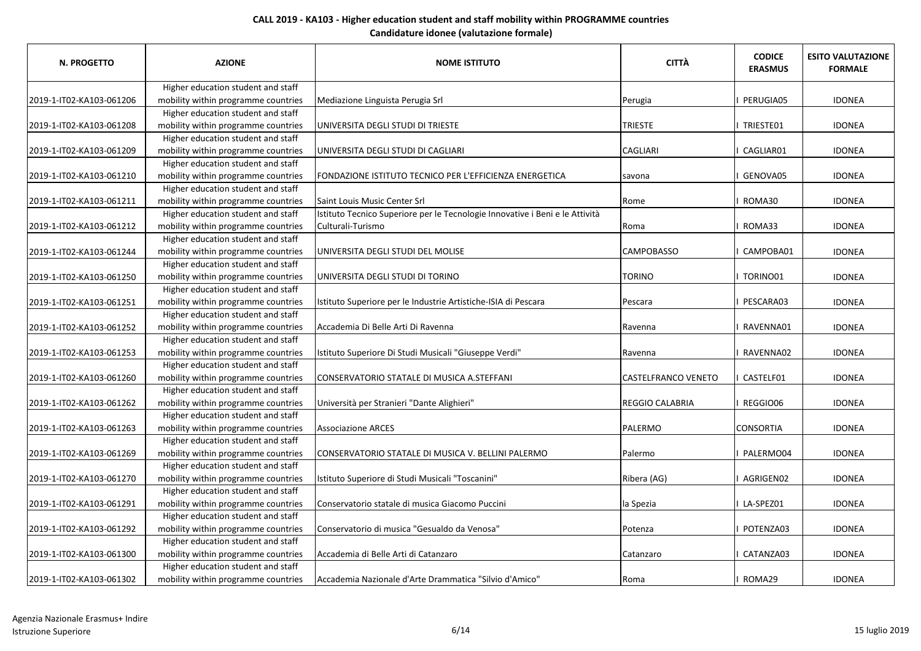| N. PROGETTO              | <b>AZIONE</b>                       | <b>NOME ISTITUTO</b>                                                         | <b>CITTÀ</b>               | <b>CODICE</b><br><b>ERASMUS</b> | <b>ESITO VALUTAZIONE</b><br><b>FORMALE</b> |
|--------------------------|-------------------------------------|------------------------------------------------------------------------------|----------------------------|---------------------------------|--------------------------------------------|
|                          | Higher education student and staff  |                                                                              |                            |                                 |                                            |
| 2019-1-IT02-KA103-061206 | mobility within programme countries | Mediazione Linguista Perugia Srl                                             | Perugia                    | <b>PERUGIA05</b>                | <b>IDONEA</b>                              |
|                          | Higher education student and staff  |                                                                              |                            |                                 |                                            |
| 2019-1-IT02-KA103-061208 | mobility within programme countries | UNIVERSITA DEGLI STUDI DI TRIESTE                                            | <b>TRIESTE</b>             | I TRIESTE01                     | <b>IDONEA</b>                              |
|                          | Higher education student and staff  |                                                                              |                            |                                 |                                            |
| 2019-1-IT02-KA103-061209 | mobility within programme countries | UNIVERSITA DEGLI STUDI DI CAGLIARI                                           | <b>CAGLIARI</b>            | CAGLIAR01                       | <b>IDONEA</b>                              |
|                          | Higher education student and staff  |                                                                              |                            |                                 |                                            |
| 2019-1-IT02-KA103-061210 | mobility within programme countries | FONDAZIONE ISTITUTO TECNICO PER L'EFFICIENZA ENERGETICA                      | savona                     | GENOVA05                        | <b>IDONEA</b>                              |
|                          | Higher education student and staff  |                                                                              |                            |                                 |                                            |
| 2019-1-IT02-KA103-061211 | mobility within programme countries | Saint Louis Music Center Srl                                                 | Rome                       | I ROMA30                        | <b>IDONEA</b>                              |
|                          | Higher education student and staff  | Istituto Tecnico Superiore per le Tecnologie Innovative i Beni e le Attività |                            |                                 |                                            |
| 2019-1-IT02-KA103-061212 | mobility within programme countries | Culturali-Turismo                                                            | Roma                       | ROMA33                          | <b>IDONEA</b>                              |
|                          | Higher education student and staff  |                                                                              |                            |                                 |                                            |
| 2019-1-IT02-KA103-061244 | mobility within programme countries | UNIVERSITA DEGLI STUDI DEL MOLISE                                            | <b>CAMPOBASSO</b>          | CAMPOBA01                       | <b>IDONEA</b>                              |
|                          | Higher education student and staff  |                                                                              |                            |                                 |                                            |
| 2019-1-IT02-KA103-061250 | mobility within programme countries | UNIVERSITA DEGLI STUDI DI TORINO                                             | <b>TORINO</b>              | I TORINO01                      | <b>IDONEA</b>                              |
|                          | Higher education student and staff  |                                                                              |                            |                                 |                                            |
| 2019-1-IT02-KA103-061251 | mobility within programme countries | Istituto Superiore per le Industrie Artistiche-ISIA di Pescara               | Pescara                    | I PESCARA03                     | <b>IDONEA</b>                              |
|                          | Higher education student and staff  |                                                                              |                            |                                 |                                            |
| 2019-1-IT02-KA103-061252 | mobility within programme countries | Accademia Di Belle Arti Di Ravenna                                           | Ravenna                    | RAVENNA01                       | <b>IDONEA</b>                              |
|                          | Higher education student and staff  |                                                                              |                            |                                 |                                            |
| 2019-1-IT02-KA103-061253 | mobility within programme countries | Istituto Superiore Di Studi Musicali "Giuseppe Verdi"                        | Ravenna                    | RAVENNA02                       | <b>IDONEA</b>                              |
|                          | Higher education student and staff  |                                                                              |                            |                                 |                                            |
| 2019-1-IT02-KA103-061260 | mobility within programme countries | CONSERVATORIO STATALE DI MUSICA A.STEFFANI                                   | <b>CASTELFRANCO VENETO</b> | I CASTELF01                     | <b>IDONEA</b>                              |
|                          | Higher education student and staff  |                                                                              |                            |                                 |                                            |
| 2019-1-IT02-KA103-061262 | mobility within programme countries | Università per Stranieri "Dante Alighieri"                                   | REGGIO CALABRIA            | I REGGIO06                      | <b>IDONEA</b>                              |
|                          | Higher education student and staff  |                                                                              |                            |                                 |                                            |
| 2019-1-IT02-KA103-061263 | mobility within programme countries | <b>Associazione ARCES</b>                                                    | PALERMO                    | <b>CONSORTIA</b>                | <b>IDONEA</b>                              |
|                          | Higher education student and staff  |                                                                              |                            |                                 |                                            |
| 2019-1-IT02-KA103-061269 | mobility within programme countries | CONSERVATORIO STATALE DI MUSICA V. BELLINI PALERMO                           | Palermo                    | I PALERMO04                     | <b>IDONEA</b>                              |
|                          | Higher education student and staff  |                                                                              |                            |                                 |                                            |
| 2019-1-IT02-KA103-061270 | mobility within programme countries | Istituto Superiore di Studi Musicali "Toscanini"                             | Ribera (AG)                | I AGRIGEN02                     | <b>IDONEA</b>                              |
|                          | Higher education student and staff  |                                                                              |                            |                                 |                                            |
| 2019-1-IT02-KA103-061291 | mobility within programme countries | Conservatorio statale di musica Giacomo Puccini                              | la Spezia                  | I LA-SPEZ01                     | <b>IDONEA</b>                              |
|                          | Higher education student and staff  |                                                                              |                            |                                 |                                            |
| 2019-1-IT02-KA103-061292 | mobility within programme countries | Conservatorio di musica "Gesualdo da Venosa"                                 | Potenza                    | I POTENZA03                     | <b>IDONEA</b>                              |
|                          | Higher education student and staff  |                                                                              |                            |                                 |                                            |
| 2019-1-IT02-KA103-061300 | mobility within programme countries | Accademia di Belle Arti di Catanzaro                                         | Catanzaro                  | CATANZA03                       | <b>IDONEA</b>                              |
|                          | Higher education student and staff  |                                                                              |                            |                                 |                                            |
| 2019-1-IT02-KA103-061302 | mobility within programme countries | Accademia Nazionale d'Arte Drammatica "Silvio d'Amico"                       | Roma                       | I ROMA29                        | <b>IDONEA</b>                              |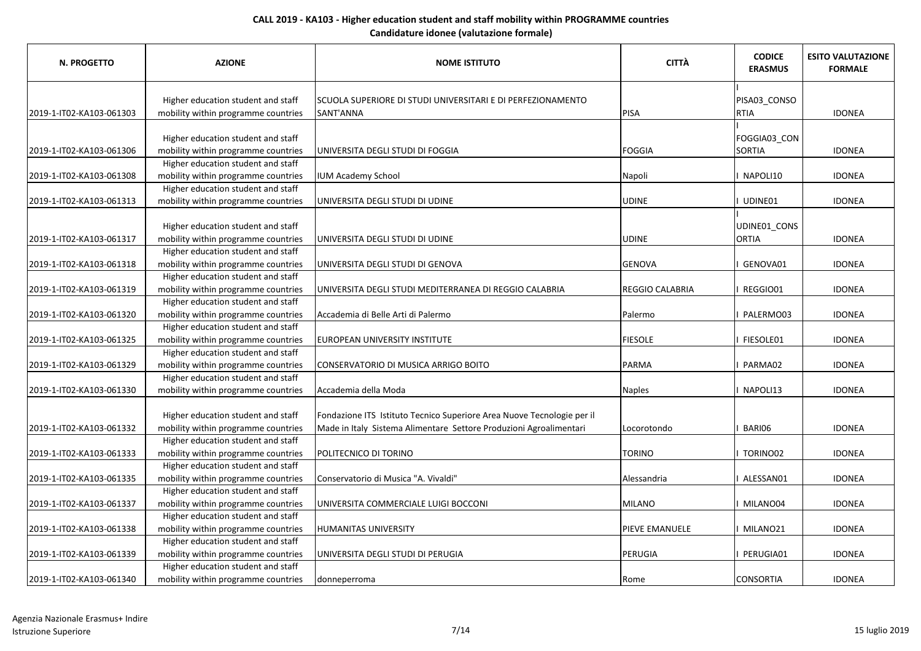| <b>N. PROGETTO</b>       | <b>AZIONE</b>                       | <b>NOME ISTITUTO</b>                                                   | <b>CITTÀ</b>           | <b>CODICE</b><br><b>ERASMUS</b> | <b>ESITO VALUTAZIONE</b><br><b>FORMALE</b> |
|--------------------------|-------------------------------------|------------------------------------------------------------------------|------------------------|---------------------------------|--------------------------------------------|
|                          | Higher education student and staff  | SCUOLA SUPERIORE DI STUDI UNIVERSITARI E DI PERFEZIONAMENTO            |                        | PISA03_CONSO                    |                                            |
| 2019-1-IT02-KA103-061303 | mobility within programme countries | SANT'ANNA                                                              | PISA                   | <b>RTIA</b>                     | <b>IDONEA</b>                              |
|                          |                                     |                                                                        |                        |                                 |                                            |
|                          | Higher education student and staff  |                                                                        |                        | FOGGIA03_CON                    |                                            |
| 2019-1-IT02-KA103-061306 | mobility within programme countries | UNIVERSITA DEGLI STUDI DI FOGGIA                                       | FOGGIA                 | <b>SORTIA</b>                   | <b>IDONEA</b>                              |
|                          | Higher education student and staff  |                                                                        |                        |                                 |                                            |
| 2019-1-IT02-KA103-061308 | mobility within programme countries | <b>IUM Academy School</b>                                              | Napoli                 | NAPOLI10                        | <b>IDONEA</b>                              |
|                          | Higher education student and staff  |                                                                        |                        |                                 |                                            |
| 2019-1-IT02-KA103-061313 | mobility within programme countries | UNIVERSITA DEGLI STUDI DI UDINE                                        | <b>UDINE</b>           | UDINE01                         | <b>IDONEA</b>                              |
|                          |                                     |                                                                        |                        |                                 |                                            |
|                          | Higher education student and staff  |                                                                        |                        | UDINE01_CONS                    |                                            |
| 2019-1-IT02-KA103-061317 | mobility within programme countries | UNIVERSITA DEGLI STUDI DI UDINE                                        | <b>UDINE</b>           | <b>ORTIA</b>                    | <b>IDONEA</b>                              |
|                          | Higher education student and staff  |                                                                        |                        |                                 |                                            |
| 2019-1-IT02-KA103-061318 | mobility within programme countries | UNIVERSITA DEGLI STUDI DI GENOVA                                       | GENOVA                 | GENOVA01                        | <b>IDONEA</b>                              |
|                          | Higher education student and staff  |                                                                        |                        |                                 |                                            |
| 2019-1-IT02-KA103-061319 | mobility within programme countries | UNIVERSITA DEGLI STUDI MEDITERRANEA DI REGGIO CALABRIA                 | <b>REGGIO CALABRIA</b> | REGGIO01                        | <b>IDONEA</b>                              |
|                          | Higher education student and staff  |                                                                        |                        |                                 |                                            |
| 2019-1-IT02-KA103-061320 | mobility within programme countries | Accademia di Belle Arti di Palermo                                     | Palermo                | PALERMO03                       | <b>IDONEA</b>                              |
|                          | Higher education student and staff  |                                                                        |                        |                                 |                                            |
| 2019-1-IT02-KA103-061325 | mobility within programme countries | EUROPEAN UNIVERSITY INSTITUTE                                          | <b>FIESOLE</b>         | FIESOLE01                       | <b>IDONEA</b>                              |
|                          | Higher education student and staff  |                                                                        |                        |                                 |                                            |
| 2019-1-IT02-KA103-061329 | mobility within programme countries | CONSERVATORIO DI MUSICA ARRIGO BOITO                                   | PARMA                  | PARMA02                         | <b>IDONEA</b>                              |
|                          | Higher education student and staff  |                                                                        |                        |                                 |                                            |
| 2019-1-IT02-KA103-061330 | mobility within programme countries | Accademia della Moda                                                   | <b>Naples</b>          | NAPOLI13                        | <b>IDONEA</b>                              |
|                          |                                     |                                                                        |                        |                                 |                                            |
|                          | Higher education student and staff  | Fondazione ITS Istituto Tecnico Superiore Area Nuove Tecnologie per il |                        |                                 |                                            |
| 2019-1-IT02-KA103-061332 | mobility within programme countries | Made in Italy Sistema Alimentare Settore Produzioni Agroalimentari     | Locorotondo            | BARI06                          | <b>IDONEA</b>                              |
|                          | Higher education student and staff  |                                                                        |                        |                                 |                                            |
| 2019-1-IT02-KA103-061333 | mobility within programme countries | POLITECNICO DI TORINO                                                  | <b>TORINO</b>          | TORINO02                        | <b>IDONEA</b>                              |
|                          | Higher education student and staff  |                                                                        |                        |                                 |                                            |
| 2019-1-IT02-KA103-061335 | mobility within programme countries | Conservatorio di Musica "A. Vivaldi"                                   | Alessandria            | ALESSAN01                       | <b>IDONEA</b>                              |
|                          | Higher education student and staff  |                                                                        |                        |                                 |                                            |
| 2019-1-IT02-KA103-061337 | mobility within programme countries | UNIVERSITA COMMERCIALE LUIGI BOCCONI                                   | MILANO                 | MILANO04                        | <b>IDONEA</b>                              |
|                          | Higher education student and staff  |                                                                        |                        |                                 |                                            |
| 2019-1-IT02-KA103-061338 | mobility within programme countries | <b>HUMANITAS UNIVERSITY</b>                                            | <b>PIEVE EMANUELE</b>  | MILANO21                        | <b>IDONEA</b>                              |
|                          | Higher education student and staff  |                                                                        |                        |                                 |                                            |
| 2019-1-IT02-KA103-061339 | mobility within programme countries | UNIVERSITA DEGLI STUDI DI PERUGIA                                      | PERUGIA                | PERUGIA01                       | <b>IDONEA</b>                              |
|                          | Higher education student and staff  |                                                                        |                        |                                 |                                            |
| 2019-1-IT02-KA103-061340 | mobility within programme countries | donneperroma                                                           | Rome                   | <b>CONSORTIA</b>                | <b>IDONEA</b>                              |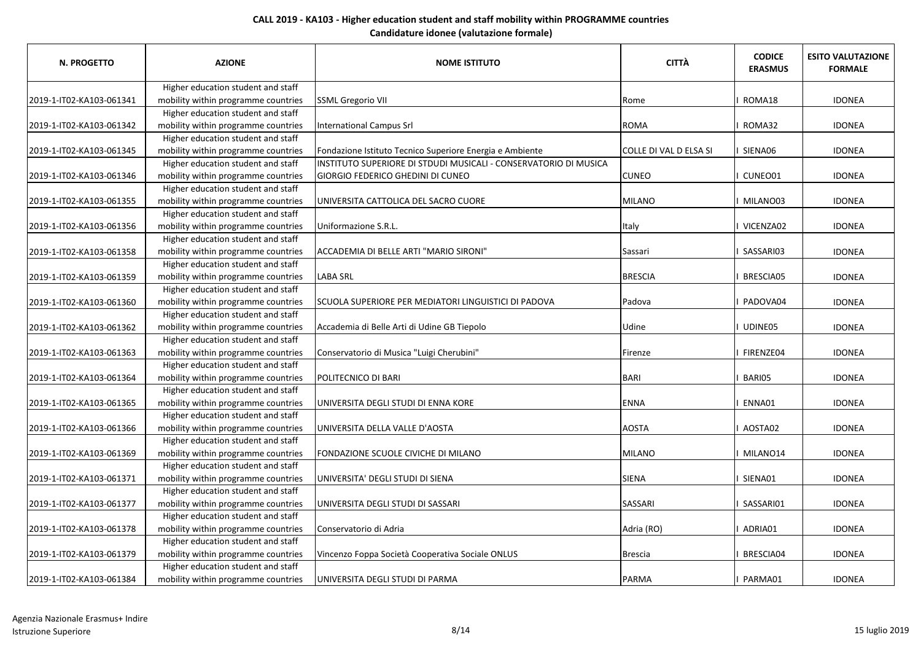| N. PROGETTO              | <b>AZIONE</b>                       | <b>NOME ISTITUTO</b>                                             | <b>CITTÀ</b>           | <b>CODICE</b><br><b>ERASMUS</b> | <b>ESITO VALUTAZIONE</b><br><b>FORMALE</b> |
|--------------------------|-------------------------------------|------------------------------------------------------------------|------------------------|---------------------------------|--------------------------------------------|
|                          | Higher education student and staff  |                                                                  |                        |                                 |                                            |
| 2019-1-IT02-KA103-061341 | mobility within programme countries | <b>SSML Gregorio VII</b>                                         | Rome                   | I ROMA18                        | <b>IDONEA</b>                              |
|                          | Higher education student and staff  |                                                                  |                        |                                 |                                            |
| 2019-1-IT02-KA103-061342 | mobility within programme countries | <b>International Campus Srl</b>                                  | <b>ROMA</b>            | I ROMA32                        | <b>IDONEA</b>                              |
|                          | Higher education student and staff  |                                                                  |                        |                                 |                                            |
| 2019-1-IT02-KA103-061345 | mobility within programme countries | Fondazione Istituto Tecnico Superiore Energia e Ambiente         | COLLE DI VAL D ELSA SI | I SIENA06                       | <b>IDONEA</b>                              |
|                          | Higher education student and staff  | INSTITUTO SUPERIORE DI STDUDI MUSICALI - CONSERVATORIO DI MUSICA |                        |                                 |                                            |
| 2019-1-IT02-KA103-061346 | mobility within programme countries | <b>GIORGIO FEDERICO GHEDINI DI CUNEO</b>                         | <b>CUNEO</b>           | I CUNEO01                       | <b>IDONEA</b>                              |
|                          | Higher education student and staff  |                                                                  |                        |                                 |                                            |
| 2019-1-IT02-KA103-061355 | mobility within programme countries | UNIVERSITA CATTOLICA DEL SACRO CUORE                             | MILANO                 | I MILANO03                      | <b>IDONEA</b>                              |
|                          | Higher education student and staff  |                                                                  |                        |                                 |                                            |
| 2019-1-IT02-KA103-061356 | mobility within programme countries | Uniformazione S.R.L.                                             | <b>Italy</b>           | I VICENZA02                     | <b>IDONEA</b>                              |
|                          | Higher education student and staff  |                                                                  |                        |                                 |                                            |
| 2019-1-IT02-KA103-061358 | mobility within programme countries | ACCADEMIA DI BELLE ARTI "MARIO SIRONI"                           | Sassari                | I SASSARI03                     | <b>IDONEA</b>                              |
|                          | Higher education student and staff  |                                                                  |                        |                                 |                                            |
| 2019-1-IT02-KA103-061359 | mobility within programme countries | <b>LABA SRL</b>                                                  | <b>BRESCIA</b>         | <b>BRESCIA05</b>                | <b>IDONEA</b>                              |
|                          | Higher education student and staff  |                                                                  |                        |                                 |                                            |
| 2019-1-IT02-KA103-061360 | mobility within programme countries | SCUOLA SUPERIORE PER MEDIATORI LINGUISTICI DI PADOVA             | Padova                 | I PADOVA04                      | <b>IDONEA</b>                              |
|                          | Higher education student and staff  |                                                                  |                        |                                 |                                            |
| 2019-1-IT02-KA103-061362 | mobility within programme countries | Accademia di Belle Arti di Udine GB Tiepolo                      | Udine                  | I UDINE05                       | <b>IDONEA</b>                              |
|                          | Higher education student and staff  |                                                                  |                        |                                 |                                            |
| 2019-1-IT02-KA103-061363 | mobility within programme countries | Conservatorio di Musica "Luigi Cherubini"                        | Firenze                | I FIRENZE04                     | <b>IDONEA</b>                              |
|                          | Higher education student and staff  |                                                                  |                        |                                 |                                            |
| 2019-1-IT02-KA103-061364 | mobility within programme countries | POLITECNICO DI BARI                                              | BARI                   | BARI05                          | <b>IDONEA</b>                              |
|                          | Higher education student and staff  |                                                                  |                        |                                 |                                            |
| 2019-1-IT02-KA103-061365 | mobility within programme countries | UNIVERSITA DEGLI STUDI DI ENNA KORE                              | <b>ENNA</b>            | ENNA01                          | <b>IDONEA</b>                              |
|                          | Higher education student and staff  |                                                                  |                        |                                 |                                            |
| 2019-1-IT02-KA103-061366 | mobility within programme countries | UNIVERSITA DELLA VALLE D'AOSTA                                   | <b>AOSTA</b>           | I AOSTA02                       | <b>IDONEA</b>                              |
|                          | Higher education student and staff  |                                                                  |                        |                                 |                                            |
| 2019-1-IT02-KA103-061369 | mobility within programme countries | FONDAZIONE SCUOLE CIVICHE DI MILANO                              | <b>MILANO</b>          | I MILANO14                      | <b>IDONEA</b>                              |
|                          | Higher education student and staff  |                                                                  |                        |                                 |                                            |
| 2019-1-IT02-KA103-061371 | mobility within programme countries | UNIVERSITA' DEGLI STUDI DI SIENA                                 | SIENA                  | I SIENA01                       | <b>IDONEA</b>                              |
|                          | Higher education student and staff  |                                                                  |                        |                                 |                                            |
| 2019-1-IT02-KA103-061377 | mobility within programme countries | UNIVERSITA DEGLI STUDI DI SASSARI                                | SASSARI                | I SASSARI01                     | <b>IDONEA</b>                              |
|                          | Higher education student and staff  |                                                                  |                        |                                 |                                            |
| 2019-1-IT02-KA103-061378 | mobility within programme countries | Conservatorio di Adria                                           | Adria (RO)             | I ADRIA01                       | <b>IDONEA</b>                              |
|                          | Higher education student and staff  |                                                                  |                        |                                 |                                            |
| 2019-1-IT02-KA103-061379 | mobility within programme countries | Vincenzo Foppa Società Cooperativa Sociale ONLUS                 | Brescia                | BRESCIA04                       | <b>IDONEA</b>                              |
|                          | Higher education student and staff  |                                                                  |                        |                                 |                                            |
| 2019-1-IT02-KA103-061384 | mobility within programme countries | UNIVERSITA DEGLI STUDI DI PARMA                                  | PARMA                  | PARMA01                         | <b>IDONEA</b>                              |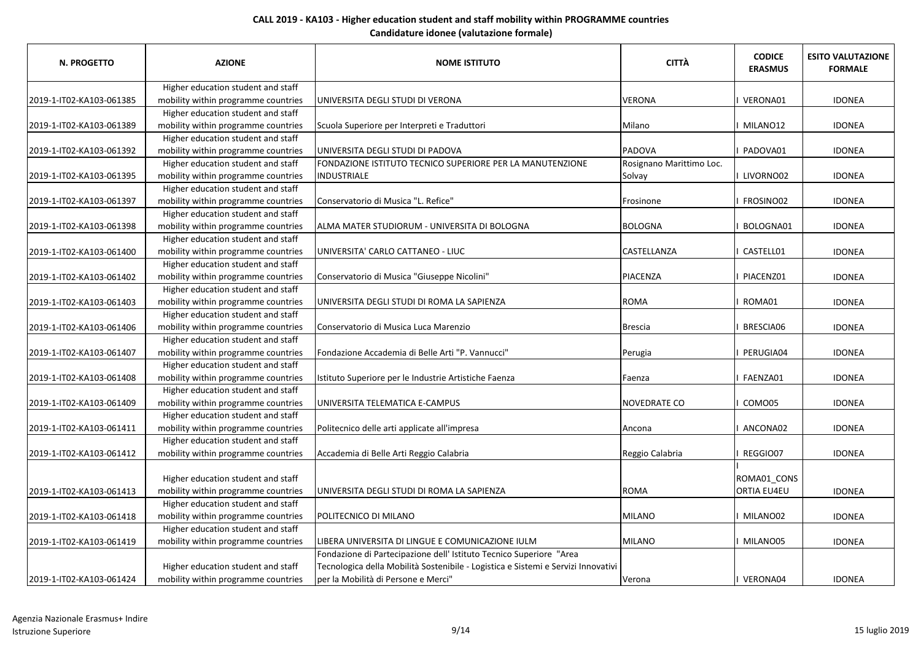| N. PROGETTO              | <b>AZIONE</b>                       | <b>NOME ISTITUTO</b>                                                              | <b>CITTÀ</b>             | <b>CODICE</b><br><b>ERASMUS</b> | <b>ESITO VALUTAZIONE</b><br><b>FORMALE</b> |
|--------------------------|-------------------------------------|-----------------------------------------------------------------------------------|--------------------------|---------------------------------|--------------------------------------------|
|                          | Higher education student and staff  |                                                                                   |                          |                                 |                                            |
| 2019-1-IT02-KA103-061385 | mobility within programme countries | UNIVERSITA DEGLI STUDI DI VERONA                                                  | <b>VERONA</b>            | VERONA01                        | <b>IDONEA</b>                              |
|                          | Higher education student and staff  |                                                                                   |                          |                                 |                                            |
| 2019-1-IT02-KA103-061389 | mobility within programme countries | Scuola Superiore per Interpreti e Traduttori                                      | Milano                   | MILANO12                        | <b>IDONEA</b>                              |
|                          | Higher education student and staff  |                                                                                   |                          |                                 |                                            |
| 2019-1-IT02-KA103-061392 | mobility within programme countries | UNIVERSITA DEGLI STUDI DI PADOVA                                                  | <b>PADOVA</b>            | PADOVA01                        | <b>IDONEA</b>                              |
|                          | Higher education student and staff  | FONDAZIONE ISTITUTO TECNICO SUPERIORE PER LA MANUTENZIONE                         | Rosignano Marittimo Loc. |                                 |                                            |
| 2019-1-IT02-KA103-061395 | mobility within programme countries | INDUSTRIALE                                                                       | Solvay                   | I LIVORNO02                     | <b>IDONEA</b>                              |
|                          | Higher education student and staff  |                                                                                   |                          |                                 |                                            |
| 2019-1-IT02-KA103-061397 | mobility within programme countries | Conservatorio di Musica "L. Refice"                                               | Frosinone                | FROSINO02                       | <b>IDONEA</b>                              |
|                          | Higher education student and staff  |                                                                                   |                          |                                 |                                            |
| 2019-1-IT02-KA103-061398 | mobility within programme countries | ALMA MATER STUDIORUM - UNIVERSITA DI BOLOGNA                                      | <b>BOLOGNA</b>           | BOLOGNA01                       | <b>IDONEA</b>                              |
|                          | Higher education student and staff  |                                                                                   |                          |                                 |                                            |
| 2019-1-IT02-KA103-061400 | mobility within programme countries | UNIVERSITA' CARLO CATTANEO - LIUC                                                 | <b>CASTELLANZA</b>       | CASTELL01                       | <b>IDONEA</b>                              |
|                          | Higher education student and staff  |                                                                                   |                          |                                 |                                            |
| 2019-1-IT02-KA103-061402 | mobility within programme countries | Conservatorio di Musica "Giuseppe Nicolini"                                       | PIACENZA                 | PIACENZ01                       | <b>IDONEA</b>                              |
|                          | Higher education student and staff  |                                                                                   |                          |                                 |                                            |
| 2019-1-IT02-KA103-061403 | mobility within programme countries | UNIVERSITA DEGLI STUDI DI ROMA LA SAPIENZA                                        | <b>ROMA</b>              | ROMA01                          | <b>IDONEA</b>                              |
|                          | Higher education student and staff  |                                                                                   |                          |                                 |                                            |
| 2019-1-IT02-KA103-061406 | mobility within programme countries | Conservatorio di Musica Luca Marenzio                                             | <b>Brescia</b>           | BRESCIA06                       | <b>IDONEA</b>                              |
|                          | Higher education student and staff  |                                                                                   |                          |                                 |                                            |
| 2019-1-IT02-KA103-061407 | mobility within programme countries | Fondazione Accademia di Belle Arti "P. Vannucci"                                  | Perugia                  | PERUGIA04                       | <b>IDONEA</b>                              |
|                          | Higher education student and staff  |                                                                                   |                          |                                 |                                            |
| 2019-1-IT02-KA103-061408 | mobility within programme countries | Istituto Superiore per le Industrie Artistiche Faenza                             | Faenza                   | FAENZA01                        | <b>IDONEA</b>                              |
|                          | Higher education student and staff  |                                                                                   |                          |                                 |                                            |
| 2019-1-IT02-KA103-061409 | mobility within programme countries | UNIVERSITA TELEMATICA E-CAMPUS                                                    | <b>NOVEDRATE CO</b>      | COMO05                          | <b>IDONEA</b>                              |
|                          | Higher education student and staff  |                                                                                   |                          |                                 |                                            |
| 2019-1-IT02-KA103-061411 | mobility within programme countries | Politecnico delle arti applicate all'impresa                                      | Ancona                   | ANCONA02                        | <b>IDONEA</b>                              |
|                          | Higher education student and staff  |                                                                                   |                          |                                 |                                            |
| 2019-1-IT02-KA103-061412 | mobility within programme countries | Accademia di Belle Arti Reggio Calabria                                           | Reggio Calabria          | REGGIO07                        | <b>IDONEA</b>                              |
|                          |                                     |                                                                                   |                          |                                 |                                            |
|                          | Higher education student and staff  |                                                                                   |                          | ROMA01_CONS                     |                                            |
| 2019-1-IT02-KA103-061413 | mobility within programme countries | UNIVERSITA DEGLI STUDI DI ROMA LA SAPIENZA                                        | <b>ROMA</b>              | ORTIA EU4EU                     | <b>IDONEA</b>                              |
|                          | Higher education student and staff  |                                                                                   |                          |                                 |                                            |
| 2019-1-IT02-KA103-061418 | mobility within programme countries | POLITECNICO DI MILANO                                                             | <b>MILANO</b>            | MILANO02                        | <b>IDONEA</b>                              |
|                          | Higher education student and staff  |                                                                                   |                          |                                 |                                            |
| 2019-1-IT02-KA103-061419 | mobility within programme countries | LIBERA UNIVERSITA DI LINGUE E COMUNICAZIONE IULM                                  | <b>MILANO</b>            | MILANO05                        | <b>IDONEA</b>                              |
|                          |                                     | Fondazione di Partecipazione dell' Istituto Tecnico Superiore "Area               |                          |                                 |                                            |
|                          | Higher education student and staff  | Tecnologica della Mobilità Sostenibile - Logistica e Sistemi e Servizi Innovativi |                          |                                 |                                            |
| 2019-1-IT02-KA103-061424 | mobility within programme countries | per la Mobilità di Persone e Merci"                                               | Verona                   | VERONA04                        | <b>IDONEA</b>                              |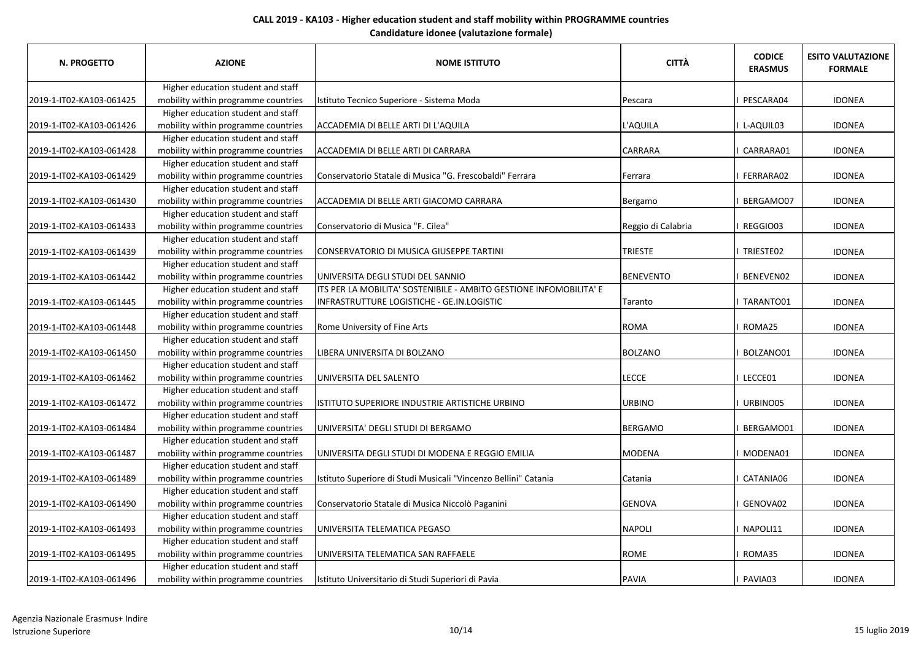| N. PROGETTO              | <b>AZIONE</b>                       | <b>NOME ISTITUTO</b>                                               | <b>CITTÀ</b>       | <b>CODICE</b><br><b>ERASMUS</b> | <b>ESITO VALUTAZIONE</b><br><b>FORMALE</b> |
|--------------------------|-------------------------------------|--------------------------------------------------------------------|--------------------|---------------------------------|--------------------------------------------|
|                          | Higher education student and staff  |                                                                    |                    |                                 |                                            |
| 2019-1-IT02-KA103-061425 | mobility within programme countries | Istituto Tecnico Superiore - Sistema Moda                          | Pescara            | PESCARA04                       | <b>IDONEA</b>                              |
|                          | Higher education student and staff  |                                                                    |                    |                                 |                                            |
| 2019-1-IT02-KA103-061426 | mobility within programme countries | ACCADEMIA DI BELLE ARTI DI L'AQUILA                                | L'AQUILA           | L-AQUIL03                       | <b>IDONEA</b>                              |
|                          | Higher education student and staff  |                                                                    |                    |                                 |                                            |
| 2019-1-IT02-KA103-061428 | mobility within programme countries | ACCADEMIA DI BELLE ARTI DI CARRARA                                 | <b>CARRARA</b>     | CARRARA01                       | <b>IDONEA</b>                              |
|                          | Higher education student and staff  |                                                                    |                    |                                 |                                            |
| 2019-1-IT02-KA103-061429 | mobility within programme countries | Conservatorio Statale di Musica "G. Frescobaldi" Ferrara           | <b>Ferrara</b>     | FERRARA02                       | <b>IDONEA</b>                              |
|                          | Higher education student and staff  |                                                                    |                    |                                 |                                            |
| 2019-1-IT02-KA103-061430 | mobility within programme countries | ACCADEMIA DI BELLE ARTI GIACOMO CARRARA                            | Bergamo            | BERGAMO07                       | <b>IDONEA</b>                              |
|                          | Higher education student and staff  |                                                                    |                    |                                 |                                            |
| 2019-1-IT02-KA103-061433 | mobility within programme countries | Conservatorio di Musica "F. Cilea"                                 | Reggio di Calabria | REGGIO03                        | <b>IDONEA</b>                              |
|                          | Higher education student and staff  |                                                                    |                    |                                 |                                            |
| 2019-1-IT02-KA103-061439 | mobility within programme countries | CONSERVATORIO DI MUSICA GIUSEPPE TARTINI                           | <b>TRIESTE</b>     | I TRIESTE02                     | <b>IDONEA</b>                              |
|                          | Higher education student and staff  |                                                                    |                    |                                 |                                            |
| 2019-1-IT02-KA103-061442 | mobility within programme countries | UNIVERSITA DEGLI STUDI DEL SANNIO                                  | BENEVENTO          | BENEVEN02                       | <b>IDONEA</b>                              |
|                          | Higher education student and staff  | ITS PER LA MOBILITA' SOSTENIBILE - AMBITO GESTIONE INFOMOBILITA' E |                    |                                 |                                            |
| 2019-1-IT02-KA103-061445 | mobility within programme countries | INFRASTRUTTURE LOGISTICHE - GE.IN.LOGISTIC                         | Taranto            | I TARANTO01                     | <b>IDONEA</b>                              |
|                          | Higher education student and staff  |                                                                    |                    |                                 |                                            |
| 2019-1-IT02-KA103-061448 | mobility within programme countries | Rome University of Fine Arts                                       | ROMA               | ROMA25                          | <b>IDONEA</b>                              |
|                          | Higher education student and staff  |                                                                    |                    |                                 |                                            |
| 2019-1-IT02-KA103-061450 | mobility within programme countries | LIBERA UNIVERSITA DI BOLZANO                                       | <b>BOLZANO</b>     | BOLZANO01                       | <b>IDONEA</b>                              |
|                          | Higher education student and staff  |                                                                    |                    |                                 |                                            |
| 2019-1-IT02-KA103-061462 | mobility within programme countries | UNIVERSITA DEL SALENTO                                             | <b>LECCE</b>       | LECCE01                         | <b>IDONEA</b>                              |
|                          | Higher education student and staff  |                                                                    |                    |                                 |                                            |
| 2019-1-IT02-KA103-061472 | mobility within programme countries | ISTITUTO SUPERIORE INDUSTRIE ARTISTICHE URBINO                     | <b>URBINO</b>      | URBINO05                        | <b>IDONEA</b>                              |
|                          | Higher education student and staff  |                                                                    |                    |                                 |                                            |
| 2019-1-IT02-KA103-061484 | mobility within programme countries | UNIVERSITA' DEGLI STUDI DI BERGAMO                                 | BERGAMO            | BERGAMO01                       | <b>IDONEA</b>                              |
|                          | Higher education student and staff  |                                                                    |                    |                                 |                                            |
| 2019-1-IT02-KA103-061487 | mobility within programme countries | UNIVERSITA DEGLI STUDI DI MODENA E REGGIO EMILIA                   | MODENA             | MODENA01                        | <b>IDONEA</b>                              |
|                          | Higher education student and staff  |                                                                    |                    |                                 |                                            |
| 2019-1-IT02-KA103-061489 | mobility within programme countries | Istituto Superiore di Studi Musicali "Vincenzo Bellini" Catania    | Catania            | CATANIA06                       | <b>IDONEA</b>                              |
|                          | Higher education student and staff  |                                                                    |                    |                                 |                                            |
| 2019-1-IT02-KA103-061490 | mobility within programme countries | Conservatorio Statale di Musica Niccolò Paganini                   | <b>GENOVA</b>      | GENOVA02                        | <b>IDONEA</b>                              |
|                          | Higher education student and staff  |                                                                    |                    |                                 |                                            |
| 2019-1-IT02-KA103-061493 | mobility within programme countries | UNIVERSITA TELEMATICA PEGASO                                       | <b>NAPOLI</b>      | NAPOLI11                        | <b>IDONEA</b>                              |
|                          | Higher education student and staff  |                                                                    |                    |                                 |                                            |
| 2019-1-IT02-KA103-061495 | mobility within programme countries | UNIVERSITA TELEMATICA SAN RAFFAELE                                 | ROME               | ROMA35                          | <b>IDONEA</b>                              |
|                          | Higher education student and staff  |                                                                    |                    |                                 |                                            |
| 2019-1-IT02-KA103-061496 | mobility within programme countries | Istituto Universitario di Studi Superiori di Pavia                 | PAVIA              | PAVIA03                         | <b>IDONEA</b>                              |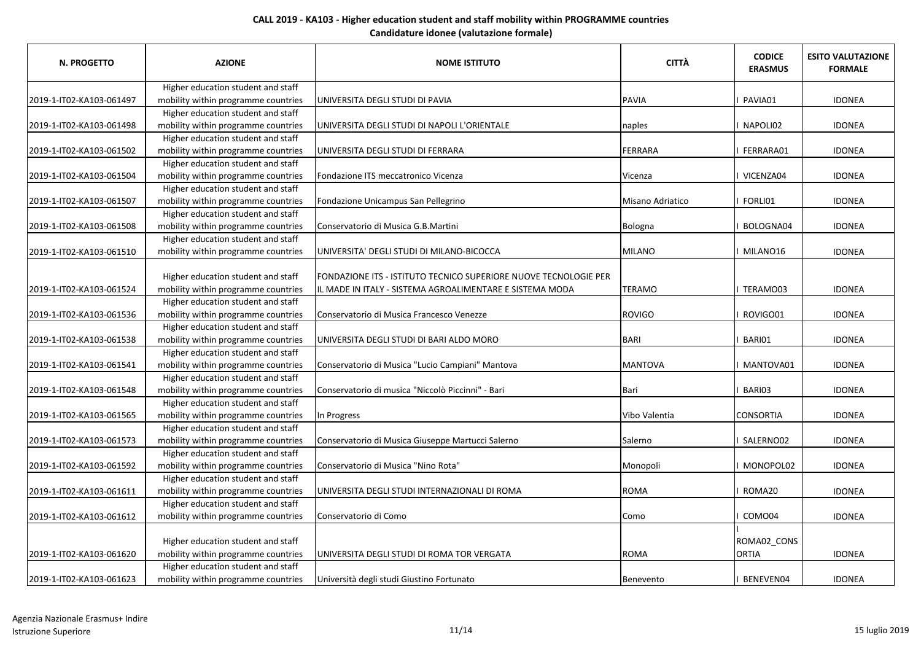| <b>N. PROGETTO</b>       | <b>AZIONE</b>                       | <b>NOME ISTITUTO</b>                                             | <b>CITTÀ</b>     | <b>CODICE</b><br><b>ERASMUS</b> | <b>ESITO VALUTAZIONE</b><br><b>FORMALE</b> |
|--------------------------|-------------------------------------|------------------------------------------------------------------|------------------|---------------------------------|--------------------------------------------|
|                          | Higher education student and staff  |                                                                  |                  |                                 |                                            |
| 2019-1-IT02-KA103-061497 | mobility within programme countries | UNIVERSITA DEGLI STUDI DI PAVIA                                  | <b>PAVIA</b>     | PAVIA01                         | <b>IDONEA</b>                              |
|                          | Higher education student and staff  |                                                                  |                  |                                 |                                            |
| 2019-1-IT02-KA103-061498 | mobility within programme countries | UNIVERSITA DEGLI STUDI DI NAPOLI L'ORIENTALE                     | naples           | NAPOLI02                        | <b>IDONEA</b>                              |
|                          | Higher education student and staff  |                                                                  |                  |                                 |                                            |
| 2019-1-IT02-KA103-061502 | mobility within programme countries | UNIVERSITA DEGLI STUDI DI FERRARA                                | FERRARA          | FERRARA01                       | <b>IDONEA</b>                              |
|                          | Higher education student and staff  |                                                                  |                  |                                 |                                            |
| 2019-1-IT02-KA103-061504 | mobility within programme countries | Fondazione ITS meccatronico Vicenza                              | Vicenza          | VICENZA04                       | <b>IDONEA</b>                              |
|                          | Higher education student and staff  |                                                                  |                  |                                 |                                            |
| 2019-1-IT02-KA103-061507 | mobility within programme countries | Fondazione Unicampus San Pellegrino                              | Misano Adriatico | FORLI01                         | <b>IDONEA</b>                              |
|                          | Higher education student and staff  |                                                                  |                  |                                 |                                            |
| 2019-1-IT02-KA103-061508 | mobility within programme countries | Conservatorio di Musica G.B.Martini                              | Bologna          | BOLOGNA04                       | <b>IDONEA</b>                              |
|                          | Higher education student and staff  |                                                                  |                  |                                 |                                            |
| 2019-1-IT02-KA103-061510 | mobility within programme countries | UNIVERSITA' DEGLI STUDI DI MILANO-BICOCCA                        | <b>MILANO</b>    | MILANO16                        | <b>IDONEA</b>                              |
|                          | Higher education student and staff  | FONDAZIONE ITS - ISTITUTO TECNICO SUPERIORE NUOVE TECNOLOGIE PER |                  |                                 |                                            |
| 2019-1-IT02-KA103-061524 | mobility within programme countries | IL MADE IN ITALY - SISTEMA AGROALIMENTARE E SISTEMA MODA         | <b>TERAMO</b>    | TERAMO03                        | <b>IDONEA</b>                              |
|                          | Higher education student and staff  |                                                                  |                  |                                 |                                            |
| 2019-1-IT02-KA103-061536 | mobility within programme countries | Conservatorio di Musica Francesco Venezze                        | <b>ROVIGO</b>    | ROVIGO01                        | <b>IDONEA</b>                              |
|                          | Higher education student and staff  |                                                                  |                  |                                 |                                            |
| 2019-1-IT02-KA103-061538 | mobility within programme countries | UNIVERSITA DEGLI STUDI DI BARI ALDO MORO                         | BARI             | BARI01                          | <b>IDONEA</b>                              |
|                          | Higher education student and staff  |                                                                  |                  |                                 |                                            |
| 2019-1-IT02-KA103-061541 | mobility within programme countries | Conservatorio di Musica "Lucio Campiani" Mantova                 | <b>MANTOVA</b>   | MANTOVA01                       | <b>IDONEA</b>                              |
|                          | Higher education student and staff  |                                                                  |                  |                                 |                                            |
| 2019-1-IT02-KA103-061548 | mobility within programme countries | Conservatorio di musica "Niccolò Piccinni" - Bari                | <b>Bari</b>      | BARI03                          | <b>IDONEA</b>                              |
|                          | Higher education student and staff  |                                                                  |                  |                                 |                                            |
| 2019-1-IT02-KA103-061565 | mobility within programme countries | In Progress                                                      | Vibo Valentia    | <b>CONSORTIA</b>                | <b>IDONEA</b>                              |
|                          | Higher education student and staff  |                                                                  |                  |                                 |                                            |
| 2019-1-IT02-KA103-061573 | mobility within programme countries | Conservatorio di Musica Giuseppe Martucci Salerno                | Salerno          | I SALERNO02                     | <b>IDONEA</b>                              |
|                          | Higher education student and staff  |                                                                  |                  |                                 |                                            |
| 2019-1-IT02-KA103-061592 | mobility within programme countries | Conservatorio di Musica "Nino Rota"                              | Monopoli         | MONOPOL02                       | <b>IDONEA</b>                              |
|                          | Higher education student and staff  |                                                                  |                  |                                 |                                            |
| 2019-1-IT02-KA103-061611 | mobility within programme countries | UNIVERSITA DEGLI STUDI INTERNAZIONALI DI ROMA                    | <b>ROMA</b>      | ROMA20                          | <b>IDONEA</b>                              |
|                          | Higher education student and staff  |                                                                  |                  |                                 |                                            |
| 2019-1-IT02-KA103-061612 | mobility within programme countries | Conservatorio di Como                                            | Como             | COMO04                          | <b>IDONEA</b>                              |
|                          | Higher education student and staff  |                                                                  |                  | ROMA02_CONS                     |                                            |
| 2019-1-IT02-KA103-061620 | mobility within programme countries | UNIVERSITA DEGLI STUDI DI ROMA TOR VERGATA                       | <b>ROMA</b>      | <b>ORTIA</b>                    | <b>IDONEA</b>                              |
|                          | Higher education student and staff  |                                                                  |                  |                                 |                                            |
| 2019-1-IT02-KA103-061623 | mobility within programme countries | Università degli studi Giustino Fortunato                        | Benevento        | BENEVEN04                       | <b>IDONEA</b>                              |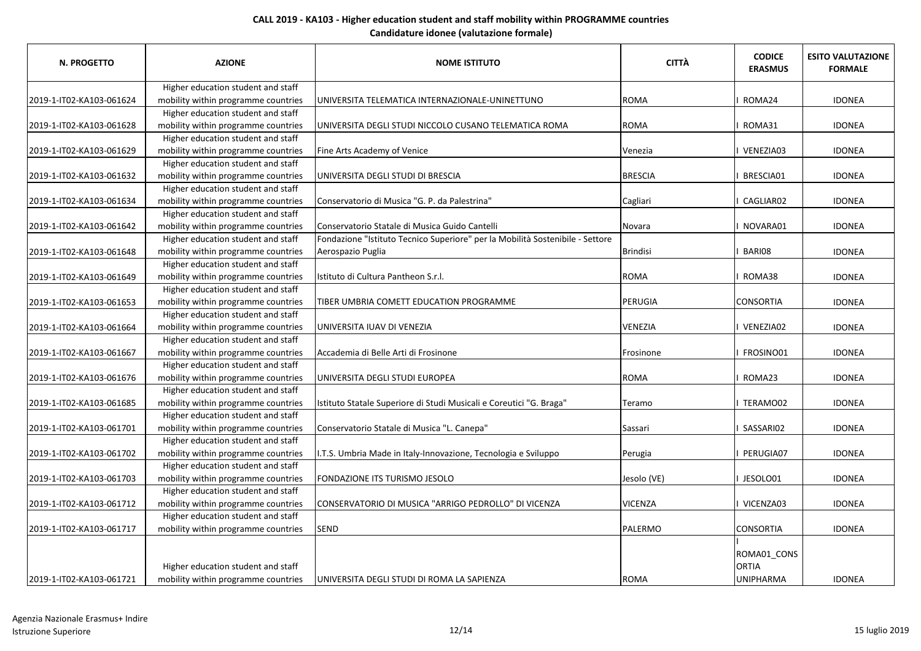| <b>N. PROGETTO</b>       | <b>AZIONE</b>                       | <b>NOME ISTITUTO</b>                                                          | <b>CITTÀ</b>   | <b>CODICE</b><br><b>ERASMUS</b> | <b>ESITO VALUTAZIONE</b><br><b>FORMALE</b> |
|--------------------------|-------------------------------------|-------------------------------------------------------------------------------|----------------|---------------------------------|--------------------------------------------|
|                          | Higher education student and staff  |                                                                               |                |                                 |                                            |
| 2019-1-IT02-KA103-061624 | mobility within programme countries | UNIVERSITA TELEMATICA INTERNAZIONALE-UNINETTUNO                               | <b>ROMA</b>    | ROMA24                          | <b>IDONEA</b>                              |
|                          | Higher education student and staff  |                                                                               |                |                                 |                                            |
| 2019-1-IT02-KA103-061628 | mobility within programme countries | UNIVERSITA DEGLI STUDI NICCOLO CUSANO TELEMATICA ROMA                         | <b>ROMA</b>    | ROMA31                          | <b>IDONEA</b>                              |
|                          | Higher education student and staff  |                                                                               |                |                                 |                                            |
| 2019-1-IT02-KA103-061629 | mobility within programme countries | Fine Arts Academy of Venice                                                   | Venezia        | VENEZIA03                       | <b>IDONEA</b>                              |
|                          | Higher education student and staff  |                                                                               |                |                                 |                                            |
| 2019-1-IT02-KA103-061632 | mobility within programme countries | UNIVERSITA DEGLI STUDI DI BRESCIA                                             | <b>BRESCIA</b> | BRESCIA01                       | <b>IDONEA</b>                              |
|                          | Higher education student and staff  |                                                                               |                |                                 |                                            |
| 2019-1-IT02-KA103-061634 | mobility within programme countries | Conservatorio di Musica "G. P. da Palestrina"                                 | Cagliari       | CAGLIAR02                       | <b>IDONEA</b>                              |
|                          | Higher education student and staff  |                                                                               |                |                                 |                                            |
| 2019-1-IT02-KA103-061642 | mobility within programme countries | Conservatorio Statale di Musica Guido Cantelli                                | Novara         | NOVARA01                        | <b>IDONEA</b>                              |
|                          | Higher education student and staff  | Fondazione "Istituto Tecnico Superiore" per la Mobilità Sostenibile - Settore |                |                                 |                                            |
| 2019-1-IT02-KA103-061648 | mobility within programme countries | Aerospazio Puglia                                                             | Brindisi       | BARI08                          | <b>IDONEA</b>                              |
|                          | Higher education student and staff  |                                                                               |                |                                 |                                            |
| 2019-1-IT02-KA103-061649 | mobility within programme countries | Istituto di Cultura Pantheon S.r.l.                                           | <b>ROMA</b>    | ROMA38                          | <b>IDONEA</b>                              |
|                          | Higher education student and staff  |                                                                               |                |                                 |                                            |
| 2019-1-IT02-KA103-061653 | mobility within programme countries | TIBER UMBRIA COMETT EDUCATION PROGRAMME                                       | PERUGIA        | <b>CONSORTIA</b>                | <b>IDONEA</b>                              |
|                          | Higher education student and staff  |                                                                               |                |                                 |                                            |
| 2019-1-IT02-KA103-061664 | mobility within programme countries | UNIVERSITA IUAV DI VENEZIA                                                    | <b>VENEZIA</b> | VENEZIA02                       | <b>IDONEA</b>                              |
|                          | Higher education student and staff  |                                                                               |                |                                 |                                            |
| 2019-1-IT02-KA103-061667 | mobility within programme countries | Accademia di Belle Arti di Frosinone                                          | Frosinone      | FROSINO01                       | <b>IDONEA</b>                              |
|                          | Higher education student and staff  |                                                                               |                |                                 |                                            |
| 2019-1-IT02-KA103-061676 | mobility within programme countries | UNIVERSITA DEGLI STUDI EUROPEA                                                | <b>ROMA</b>    | ROMA23                          | <b>IDONEA</b>                              |
|                          | Higher education student and staff  |                                                                               |                |                                 |                                            |
| 2019-1-IT02-KA103-061685 | mobility within programme countries | Istituto Statale Superiore di Studi Musicali e Coreutici "G. Braga"           | Teramo         | <b>TERAMO02</b>                 | <b>IDONEA</b>                              |
|                          | Higher education student and staff  |                                                                               |                |                                 |                                            |
| 2019-1-IT02-KA103-061701 | mobility within programme countries | Conservatorio Statale di Musica "L. Canepa"                                   | Sassari        | SASSARI02                       | <b>IDONEA</b>                              |
|                          | Higher education student and staff  |                                                                               |                |                                 |                                            |
| 2019-1-IT02-KA103-061702 | mobility within programme countries | I.T.S. Umbria Made in Italy-Innovazione, Tecnologia e Sviluppo                | Perugia        | PERUGIA07                       | <b>IDONEA</b>                              |
|                          | Higher education student and staff  |                                                                               |                |                                 |                                            |
| 2019-1-IT02-KA103-061703 | mobility within programme countries | FONDAZIONE ITS TURISMO JESOLO                                                 | Jesolo (VE)    | JESOLO01                        | <b>IDONEA</b>                              |
|                          | Higher education student and staff  |                                                                               |                |                                 |                                            |
| 2019-1-IT02-KA103-061712 | mobility within programme countries | CONSERVATORIO DI MUSICA "ARRIGO PEDROLLO" DI VICENZA                          | <b>VICENZA</b> | VICENZA03                       | <b>IDONEA</b>                              |
|                          | Higher education student and staff  |                                                                               |                |                                 |                                            |
| 2019-1-IT02-KA103-061717 | mobility within programme countries | <b>SEND</b>                                                                   | PALERMO        | <b>CONSORTIA</b>                | <b>IDONEA</b>                              |
|                          | Higher education student and staff  |                                                                               |                | ROMA01_CONS<br><b>ORTIA</b>     |                                            |
| 2019-1-IT02-KA103-061721 | mobility within programme countries | UNIVERSITA DEGLI STUDI DI ROMA LA SAPIENZA                                    | <b>ROMA</b>    | <b>UNIPHARMA</b>                | <b>IDONEA</b>                              |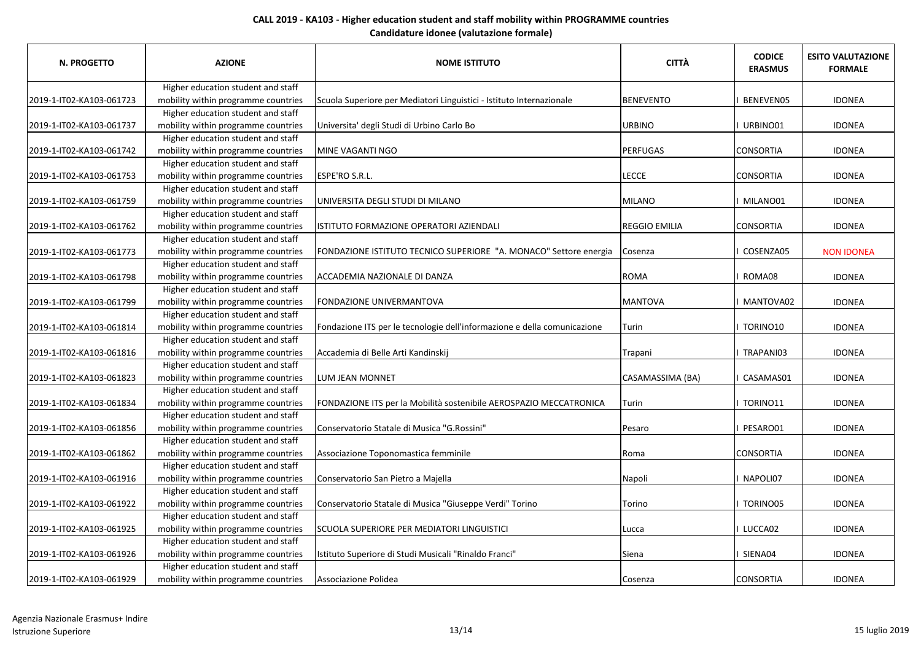| N. PROGETTO              | <b>AZIONE</b>                       | <b>NOME ISTITUTO</b>                                                     | <b>CITTÀ</b>         | <b>CODICE</b><br><b>ERASMUS</b> | <b>ESITO VALUTAZIONE</b><br><b>FORMALE</b> |
|--------------------------|-------------------------------------|--------------------------------------------------------------------------|----------------------|---------------------------------|--------------------------------------------|
|                          | Higher education student and staff  |                                                                          |                      |                                 |                                            |
| 2019-1-IT02-KA103-061723 | mobility within programme countries | Scuola Superiore per Mediatori Linguistici - Istituto Internazionale     | <b>BENEVENTO</b>     | BENEVEN05                       | <b>IDONEA</b>                              |
|                          | Higher education student and staff  |                                                                          |                      |                                 |                                            |
| 2019-1-IT02-KA103-061737 | mobility within programme countries | Universita' degli Studi di Urbino Carlo Bo                               | <b>URBINO</b>        | URBINO01                        | <b>IDONEA</b>                              |
|                          | Higher education student and staff  |                                                                          |                      |                                 |                                            |
| 2019-1-IT02-KA103-061742 | mobility within programme countries | MINE VAGANTI NGO                                                         | <b>PERFUGAS</b>      | <b>CONSORTIA</b>                | <b>IDONEA</b>                              |
|                          | Higher education student and staff  |                                                                          |                      |                                 |                                            |
| 2019-1-IT02-KA103-061753 | mobility within programme countries | ESPE'RO S.R.L.                                                           | <b>LECCE</b>         | <b>CONSORTIA</b>                | <b>IDONEA</b>                              |
|                          | Higher education student and staff  |                                                                          |                      |                                 |                                            |
| 2019-1-IT02-KA103-061759 | mobility within programme countries | UNIVERSITA DEGLI STUDI DI MILANO                                         | MILANO               | I MILANO01                      | <b>IDONEA</b>                              |
|                          | Higher education student and staff  |                                                                          |                      |                                 |                                            |
| 2019-1-IT02-KA103-061762 | mobility within programme countries | ISTITUTO FORMAZIONE OPERATORI AZIENDALI                                  | <b>REGGIO EMILIA</b> | <b>CONSORTIA</b>                | <b>IDONEA</b>                              |
|                          | Higher education student and staff  |                                                                          |                      |                                 |                                            |
| 2019-1-IT02-KA103-061773 | mobility within programme countries | FONDAZIONE ISTITUTO TECNICO SUPERIORE "A. MONACO" Settore energia        | Cosenza              | COSENZA05                       | <b>NON IDONEA</b>                          |
|                          | Higher education student and staff  |                                                                          |                      |                                 |                                            |
| 2019-1-IT02-KA103-061798 | mobility within programme countries | ACCADEMIA NAZIONALE DI DANZA                                             | <b>ROMA</b>          | ROMA08                          | <b>IDONEA</b>                              |
|                          | Higher education student and staff  |                                                                          |                      |                                 |                                            |
| 2019-1-IT02-KA103-061799 | mobility within programme countries | <b>FONDAZIONE UNIVERMANTOVA</b>                                          | <b>MANTOVA</b>       | MANTOVA02                       | <b>IDONEA</b>                              |
|                          | Higher education student and staff  |                                                                          |                      |                                 |                                            |
| 2019-1-IT02-KA103-061814 | mobility within programme countries | Fondazione ITS per le tecnologie dell'informazione e della comunicazione | Turin                | I TORINO10                      | <b>IDONEA</b>                              |
|                          | Higher education student and staff  |                                                                          |                      |                                 |                                            |
| 2019-1-IT02-KA103-061816 | mobility within programme countries | Accademia di Belle Arti Kandinskij                                       | Trapani              | TRAPANI03                       | <b>IDONEA</b>                              |
|                          | Higher education student and staff  |                                                                          |                      |                                 |                                            |
| 2019-1-IT02-KA103-061823 | mobility within programme countries | LUM JEAN MONNET                                                          | CASAMASSIMA (BA)     | CASAMAS01                       | <b>IDONEA</b>                              |
|                          | Higher education student and staff  |                                                                          |                      |                                 |                                            |
| 2019-1-IT02-KA103-061834 | mobility within programme countries | FONDAZIONE ITS per la Mobilità sostenibile AEROSPAZIO MECCATRONICA       | Turin                | I TORINO11                      | <b>IDONEA</b>                              |
|                          | Higher education student and staff  |                                                                          |                      |                                 |                                            |
| 2019-1-IT02-KA103-061856 | mobility within programme countries | Conservatorio Statale di Musica "G.Rossini"                              | Pesaro               | PESARO01                        | <b>IDONEA</b>                              |
|                          | Higher education student and staff  |                                                                          |                      |                                 |                                            |
| 2019-1-IT02-KA103-061862 | mobility within programme countries | Associazione Toponomastica femminile                                     | Roma                 | <b>CONSORTIA</b>                | <b>IDONEA</b>                              |
|                          | Higher education student and staff  |                                                                          |                      |                                 |                                            |
| 2019-1-IT02-KA103-061916 | mobility within programme countries | Conservatorio San Pietro a Majella                                       | Napoli               | NAPOLI07                        | <b>IDONEA</b>                              |
|                          | Higher education student and staff  |                                                                          |                      |                                 |                                            |
| 2019-1-IT02-KA103-061922 | mobility within programme countries | Conservatorio Statale di Musica "Giuseppe Verdi" Torino                  | Torino               | <b>I TORINO05</b>               | <b>IDONEA</b>                              |
|                          | Higher education student and staff  |                                                                          |                      |                                 |                                            |
| 2019-1-IT02-KA103-061925 | mobility within programme countries | SCUOLA SUPERIORE PER MEDIATORI LINGUISTICI                               | Lucca                | I LUCCA02                       | <b>IDONEA</b>                              |
|                          | Higher education student and staff  |                                                                          |                      |                                 |                                            |
| 2019-1-IT02-KA103-061926 | mobility within programme countries | Istituto Superiore di Studi Musicali "Rinaldo Franci"                    | Siena                | I SIENA04                       | <b>IDONEA</b>                              |
|                          | Higher education student and staff  |                                                                          |                      |                                 |                                            |
| 2019-1-IT02-KA103-061929 | mobility within programme countries | Associazione Polidea                                                     | Cosenza              | <b>CONSORTIA</b>                | <b>IDONEA</b>                              |